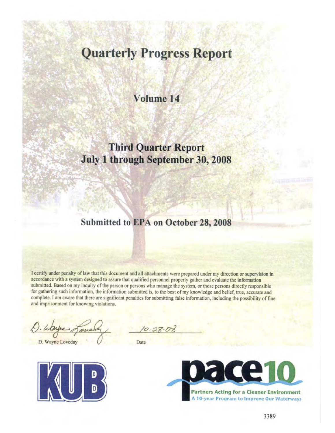# **Quarterly Progress Report**

## Volume 14

# **Third Quarter Report** July 1 through September 30, 2008

## Submitted to EPA on October 28, 2008

I certify under penalty of law that this document and all attachments were prepared under my direction or supervision in accordance with a system designed to assure that qualified personnel properly gather and evaluate the information submitted. Based on my inquiry of the person or persons who manage the system, or those persons directly responsible for gathering such information, the information submitted is, to the best of my knowledge and belief, true, accurate and complete. I am aware that there are significant penalties for submitting false information, including the possibility of fine and imprisonment for knowing violations.

D. Wayne Loveday



Date

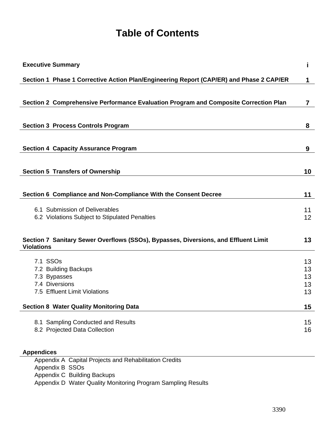# **Table of Contents**

| <b>Executive Summary</b>                                                                                 | i  |
|----------------------------------------------------------------------------------------------------------|----|
| Section 1 Phase 1 Corrective Action Plan/Engineering Report (CAP/ER) and Phase 2 CAP/ER                  | 1  |
|                                                                                                          |    |
| Section 2 Comprehensive Performance Evaluation Program and Composite Correction Plan                     | 7  |
|                                                                                                          |    |
| <b>Section 3 Process Controls Program</b>                                                                | 8  |
|                                                                                                          |    |
| <b>Section 4 Capacity Assurance Program</b>                                                              | 9  |
|                                                                                                          |    |
| <b>Section 5 Transfers of Ownership</b>                                                                  | 10 |
|                                                                                                          |    |
| Section 6 Compliance and Non-Compliance With the Consent Decree                                          | 11 |
| 6.1 Submission of Deliverables                                                                           | 11 |
| 6.2 Violations Subject to Stipulated Penalties                                                           | 12 |
|                                                                                                          |    |
| Section 7 Sanitary Sewer Overflows (SSOs), Bypasses, Diversions, and Effluent Limit<br><b>Violations</b> | 13 |
| 7.1 SSOs                                                                                                 | 13 |
| 7.2 Building Backups                                                                                     | 13 |
| 7.3 Bypasses                                                                                             | 13 |
| 7.4 Diversions                                                                                           | 13 |
| 7.5 Effluent Limit Violations                                                                            | 13 |
| <b>Section 8 Water Quality Monitoring Data</b>                                                           | 15 |
| 8.1 Sampling Conducted and Results                                                                       | 15 |
| 8.2 Projected Data Collection                                                                            | 16 |
|                                                                                                          |    |
| <b>Appendices</b>                                                                                        |    |
| Appendix A Capital Projects and Rehabilitation Credits                                                   |    |

Appendix B SSOs

Appendix C Building Backups

Appendix D Water Quality Monitoring Program Sampling Results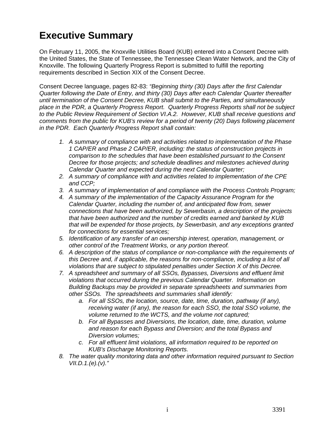# **Executive Summary**

On February 11, 2005, the Knoxville Utilities Board (KUB) entered into a Consent Decree with the United States, the State of Tennessee, the Tennessee Clean Water Network, and the City of Knoxville. The following Quarterly Progress Report is submitted to fulfill the reporting requirements described in Section XIX of the Consent Decree.

Consent Decree language, pages 82-83: *"Beginning thirty (30) Days after the first Calendar Quarter following the Date of Entry, and thirty (30) Days after each Calendar Quarter thereafter until termination of the Consent Decree, KUB shall submit to the Parties, and simultaneously place in the PDR, a Quarterly Progress Report. Quarterly Progress Reports shall not be subject to the Public Review Requirement of Section VI.A.2. However, KUB shall receive questions and comments from the public for KUB's review for a period of twenty (20) Days following placement in the PDR. Each Quarterly Progress Report shall contain:* 

- *1. A summary of compliance with and activities related to implementation of the Phase 1 CAP/ER and Phase 2 CAP/ER, including: the status of construction projects in comparison to the schedules that have been established pursuant to the Consent Decree for those projects; and schedule deadlines and milestones achieved during Calendar Quarter and expected during the next Calendar Quarter;*
- *2. A summary of compliance with and activities related to implementation of the CPE and CCP;*
- *3. A summary of implementation of and compliance with the Process Controls Program;*
- *4. A summary of the implementation of the Capacity Assurance Program for the Calendar Quarter, including the number of, and anticipated flow from, sewer connections that have been authorized, by Sewerbasin, a description of the projects that have been authorized and the number of credits earned and banked by KUB that will be expended for those projects, by Sewerbasin, and any exceptions granted for connections for essential services;*
- *5. Identification of any transfer of an ownership interest, operation, management, or other control of the Treatment Works, or any portion thereof.*
- *6. A description of the status of compliance or non-compliance with the requirements of this Decree and, if applicable, the reasons for non-compliance, including a list of all violations that are subject to stipulated penalties under Section X of this Decree.*
- *7. A spreadsheet and summary of all SSOs, Bypasses, Diversions and effluent limit violations that occurred during the previous Calendar Quarter. Information on Building Backups may be provided in separate spreadsheets and summaries from other SSOs. The spreadsheets and summaries shall identify:* 
	- *a. For all SSOs, the location, source, date, time, duration, pathway (if any), receiving water (if any), the reason for each SSO, the total SSO volume, the volume returned to the WCTS, and the volume not captured;*
	- *b. For all Bypasses and Diversions, the location, date, time, duration, volume and reason for each Bypass and Diversion; and the total Bypass and Diversion volumes;*
	- *c. For all effluent limit violations, all information required to be reported on KUB's Discharge Monitoring Reports.*
- *8. The water quality monitoring data and other information required pursuant to Section VII.D.1.(e).(v)."*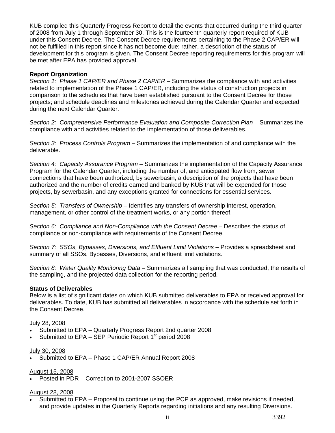KUB compiled this Quarterly Progress Report to detail the events that occurred during the third quarter of 2008 from July 1 through September 30. This is the fourteenth quarterly report required of KUB under this Consent Decree. The Consent Decree requirements pertaining to the Phase 2 CAP/ER will not be fulfilled in this report since it has not become due; rather, a description of the status of development for this program is given. The Consent Decree reporting requirements for this program will be met after EPA has provided approval.

#### **Report Organization**

*Section 1: Phase 1 CAP/ER and Phase 2 CAP/ER* – Summarizes the compliance with and activities related to implementation of the Phase 1 CAP/ER, including the status of construction projects in comparison to the schedules that have been established pursuant to the Consent Decree for those projects; and schedule deadlines and milestones achieved during the Calendar Quarter and expected during the next Calendar Quarter.

*Section 2: Comprehensive Performance Evaluation and Composite Correction Plan* – Summarizes the compliance with and activities related to the implementation of those deliverables.

*Section 3: Process Controls Program* – Summarizes the implementation of and compliance with the deliverable.

*Section 4: Capacity Assurance Program* – Summarizes the implementation of the Capacity Assurance Program for the Calendar Quarter, including the number of, and anticipated flow from, sewer connections that have been authorized, by sewerbasin, a description of the projects that have been authorized and the number of credits earned and banked by KUB that will be expended for those projects, by sewerbasin, and any exceptions granted for connections for essential services.

*Section 5: Transfers of Ownership* – Identifies any transfers of ownership interest, operation, management, or other control of the treatment works, or any portion thereof.

*Section 6: Compliance and Non-Compliance with the Consent Decree* – Describes the status of compliance or non-compliance with requirements of the Consent Decree.

*Section 7: SSOs, Bypasses, Diversions, and Effluent Limit Violations* – Provides a spreadsheet and summary of all SSOs, Bypasses, Diversions, and effluent limit violations.

*Section 8: Water Quality Monitoring Data* – Summarizes all sampling that was conducted, the results of the sampling, and the projected data collection for the reporting period.

#### **Status of Deliverables**

Below is a list of significant dates on which KUB submitted deliverables to EPA or received approval for deliverables. To date, KUB has submitted all deliverables in accordance with the schedule set forth in the Consent Decree.

### July 28, 2008

- Submitted to EPA Quarterly Progress Report 2nd quarter 2008
- Submitted to  $EPA SEP$  Periodic Report  $1<sup>st</sup>$  period 2008

#### July 30, 2008

Submitted to EPA – Phase 1 CAP/ER Annual Report 2008

#### August 15, 2008

Posted in PDR – Correction to 2001-2007 SSOER

#### August 28, 2008

 Submitted to EPA – Proposal to continue using the PCP as approved, make revisions if needed, and provide updates in the Quarterly Reports regarding initiations and any resulting Diversions.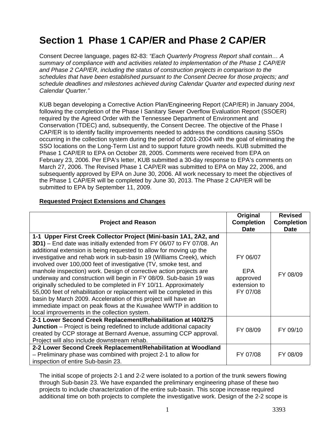# **Section 1 Phase 1 CAP/ER and Phase 2 CAP/ER**

Consent Decree language, pages 82-83: *"Each Quarterly Progress Report shall contain… A summary of compliance with and activities related to implementation of the Phase 1 CAP/ER and Phase 2 CAP/ER, including the status of construction projects in comparison to the schedules that have been established pursuant to the Consent Decree for those projects; and schedule deadlines and milestones achieved during Calendar Quarter and expected during next Calendar Quarter."*

KUB began developing a Corrective Action Plan/Engineering Report (CAP/ER) in January 2004, following the completion of the Phase I Sanitary Sewer Overflow Evaluation Report (SSOER) required by the Agreed Order with the Tennessee Department of Environment and Conservation (TDEC) and, subsequently, the Consent Decree. The objective of the Phase I CAP/ER is to identify facility improvements needed to address the conditions causing SSOs occurring in the collection system during the period of 2001-2004 with the goal of eliminating the SSO locations on the Long-Term List and to support future growth needs. KUB submitted the Phase 1 CAP/ER to EPA on October 28, 2005. Comments were received from EPA on February 23, 2006. Per EPA's letter, KUB submitted a 30-day response to EPA's comments on March 27, 2006. The Revised Phase 1 CAP/ER was submitted to EPA on May 22, 2006, and subsequently approved by EPA on June 30, 2006. All work necessary to meet the objectives of the Phase 1 CAP/ER will be completed by June 30, 2013. The Phase 2 CAP/ER will be submitted to EPA by September 11, 2009.

## **Requested Project Extensions and Changes**

| <b>Project and Reason</b>                                                                                                                                                                                                                                                                                                                                                                                                                                                                                                                                                                                                                                                                                                                                                                                                                   | Original<br><b>Completion</b><br><b>Date</b>            | <b>Revised</b><br><b>Completion</b><br><b>Date</b> |
|---------------------------------------------------------------------------------------------------------------------------------------------------------------------------------------------------------------------------------------------------------------------------------------------------------------------------------------------------------------------------------------------------------------------------------------------------------------------------------------------------------------------------------------------------------------------------------------------------------------------------------------------------------------------------------------------------------------------------------------------------------------------------------------------------------------------------------------------|---------------------------------------------------------|----------------------------------------------------|
| 1-1 Upper First Creek Collector Project (Mini-basin 1A1, 2A2, and<br>3D1) - End date was initially extended from FY 06/07 to FY 07/08. An<br>additional extension is being requested to allow for moving up the<br>investigative and rehab work in sub-basin 19 (Williams Creek), which<br>involved over 100,000 feet of investigative (TV, smoke test, and<br>manhole inspection) work. Design of corrective action projects are<br>underway and construction will begin in FY 08/09. Sub-basin 19 was<br>originally scheduled to be completed in FY 10/11. Approximately<br>55,000 feet of rehabilitation or replacement will be completed in this<br>basin by March 2009. Acceleration of this project will have an<br>immediate impact on peak flows at the Kuwahee WWTP in addition to<br>local improvements in the collection system. | FY 06/07<br>EPA<br>approved<br>extension to<br>FY 07/08 | FY 08/09                                           |
| 2-1 Lower Second Creek Replacement/Rehabilitation at I40/I275<br><b>Junction</b> – Project is being redefined to include additional capacity<br>created by CCP storage at Bernard Avenue, assuming CCP approval.<br>Project will also include downstream rehab.                                                                                                                                                                                                                                                                                                                                                                                                                                                                                                                                                                             | FY 08/09                                                | FY 09/10                                           |
| 2-2 Lower Second Creek Replacement/Rehabilitation at Woodland<br>- Preliminary phase was combined with project 2-1 to allow for<br>inspection of entire Sub-basin 23.                                                                                                                                                                                                                                                                                                                                                                                                                                                                                                                                                                                                                                                                       | FY 07/08                                                | FY 08/09                                           |

The initial scope of projects 2-1 and 2-2 were isolated to a portion of the trunk sewers flowing through Sub-basin 23. We have expanded the preliminary engineering phase of these two projects to include characterization of the entire sub-basin. This scope increase required additional time on both projects to complete the investigative work. Design of the 2-2 scope is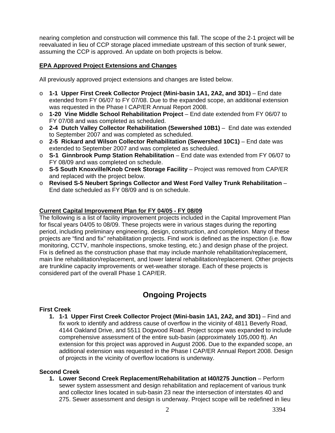nearing completion and construction will commence this fall. The scope of the 2-1 project will be reevaluated in lieu of CCP storage placed immediate upstream of this section of trunk sewer, assuming the CCP is approved. An update on both projects is below.

#### **EPA Approved Project Extensions and Changes**

All previously approved project extensions and changes are listed below.

- o **1-1 Upper First Creek Collector Project (Mini-basin 1A1, 2A2, and 3D1)** End date extended from FY 06/07 to FY 07/08. Due to the expanded scope, an additional extension was requested in the Phase I CAP/ER Annual Report 2008.
- o **1-20 Vine Middle School Rehabilitation Project** End date extended from FY 06/07 to FY 07/08 and was completed as scheduled.
- o **2-4 Dutch Valley Collector Rehabilitation (Sewershed 10B1)** End date was extended to September 2007 and was completed as scheduled.
- o **2-5 Rickard and Wilson Collector Rehabilitation (Sewershed 10C1)** End date was extended to September 2007 and was completed as scheduled.
- o **S-1 Ginnbrook Pump Station Rehabilitation** End date was extended from FY 06/07 to FY 08/09 and was completed on schedule.
- o **S-5 South Knoxville/Knob Creek Storage Facility** Project was removed from CAP/ER and replaced with the project below.
- o **Revised S-5 Neubert Springs Collector and West Ford Valley Trunk Rehabilitation** End date scheduled as FY 08/09 and is on schedule.

#### **Current Capital Improvement Plan for FY 04/05 - FY 08/09**

The following is a list of facility improvement projects included in the Capital Improvement Plan for fiscal years 04/05 to 08/09. These projects were in various stages during the reporting period, including preliminary engineering, design, construction, and completion. Many of these projects are "find and fix" rehabilitation projects. Find work is defined as the inspection (i.e. flow monitoring, CCTV, manhole inspections, smoke testing, etc.) and design phase of the project. Fix is defined as the construction phase that may include manhole rehabilitation/replacement, main line rehabilitation/replacement, and lower lateral rehabilitation/replacement. Other projects are trunkline capacity improvements or wet-weather storage. Each of these projects is considered part of the overall Phase 1 CAP/ER.

## **Ongoing Projects**

#### **First Creek**

**1. 1-1 Upper First Creek Collector Project (Mini-basin 1A1, 2A2, and 3D1)** – Find and fix work to identify and address cause of overflow in the vicinity of 4811 Beverly Road, 4144 Oakland Drive, and 5511 Dogwood Road. Project scope was expanded to include comprehensive assessment of the entire sub-basin (approximately 105,000 ft). An extension for this project was approved in August 2006. Due to the expanded scope, an additional extension was requested in the Phase I CAP/ER Annual Report 2008. Design of projects in the vicinity of overflow locations is underway.

#### **Second Creek**

**1. Lower Second Creek Replacement/Rehabilitation at I40/I275 Junction** – Perform sewer system assessment and design rehabilitation and replacement of various trunk and collector lines located in sub-basin 23 near the intersection of interstates 40 and 275. Sewer assessment and design is underway. Project scope will be redefined in lieu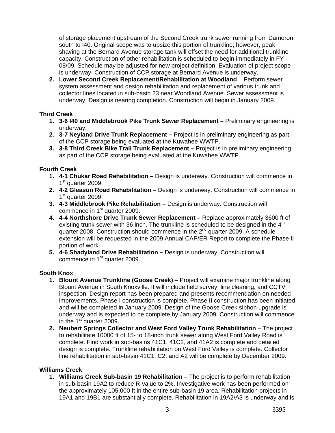of storage placement upstream of the Second Creek trunk sewer running from Dameron south to I40. Original scope was to upsize this portion of trunkline; however, peak shaving at the Bernard Avenue storage tank will offset the need for additional trunkline capacity. Construction of other rehabilitation is scheduled to begin immediately in FY 08/09. Schedule may be adjusted for new project definition. Evaluation of project scope is underway. Construction of CCP storage at Bernard Avenue is underway.

**2. Lower Second Creek Replacement/Rehabilitation at Woodland** – Perform sewer system assessment and design rehabilitation and replacement of various trunk and collector lines located in sub-basin 23 near Woodland Avenue. Sewer assessment is underway. Design is nearing completion. Construction will begin in January 2009.

## **Third Creek**

- **1. 3-6 I40 and Middlebrook Pike Trunk Sewer Replacement** Preliminary engineering is underway.
- **2. 3-7 Neyland Drive Trunk Replacement** Project is in preliminary engineering as part of the CCP storage being evaluated at the Kuwahee WWTP.
- **3. 3-8 Third Creek Bike Trail Trunk Replacement** Project is in preliminary engineering as part of the CCP storage being evaluated at the Kuwahee WWTP.

#### **Fourth Creek**

- **1. 4-1 Chukar Road Rehabilitation** Design is underway. Construction will commence in  $1<sup>st</sup>$  quarter 2009.
- **2. 4-2 Gleason Road Rehabilitation** Design is underway. Construction will commence in 1<sup>st</sup> quarter 2009.
- **3. 4-3 Middlebrook Pike Rehabilitation** Design is underway. Construction will commence in 1<sup>st</sup> quarter 2009.
- **4. 4-4 Northshore Drive Trunk Sewer Replacement** Replace approximately 3600 ft of existing trunk sewer with 36 inch. The trunkline is scheduled to be designed in the  $4<sup>th</sup>$ quarter 2008. Construction should commence in the  $2^{nd}$  quarter 2009. A schedule extension will be requested in the 2009 Annual CAP/ER Report to complete the Phase II portion of work.
- **5. 4-6 Shadyland Drive Rehabilitation** Design is underway. Construction will commence in 1<sup>st</sup> quarter 2009.

#### **South Knox**

- **1. Blount Avenue Trunkline (Goose Creek)**  Project will examine major trunkline along Blount Avenue in South Knoxville. It will include field survey, line cleaning, and CCTV inspection. Design report has been prepared and presents recommendation on needed improvements. Phase I construction is complete. Phase II construction has been initiated and will be completed in January 2009. Design of the Goose Creek siphon upgrade is underway and is expected to be complete by January 2009. Construction will commence in the  $1<sup>st</sup>$  quarter 2009.
- **2. Neubert Springs Collector and West Ford Valley Trunk Rehabilitation** The project to rehabilitate 10000 ft of 15- to 18-inch trunk sewer along West Ford Valley Road is complete. Find work in sub-basins 41C1, 41C2, and 41A2 is complete and detailed design is complete. Trunkline rehabilitation on West Ford Valley is complete. Collector line rehabilitation in sub-basin 41C1, C2, and A2 will be complete by December 2009.

#### **Williams Creek**

**1. Williams Creek Sub-basin 19 Rehabilitation** – The project is to perform rehabilitation in sub-basin 19A2 to reduce R-value to 2%. Investigative work has been performed on the approximately 105,000 ft in the entire sub-basin 19 area. Rehabilitation projects in 19A1 and 19B1 are substantially complete. Rehabilitation in 19A2/A3 is underway and is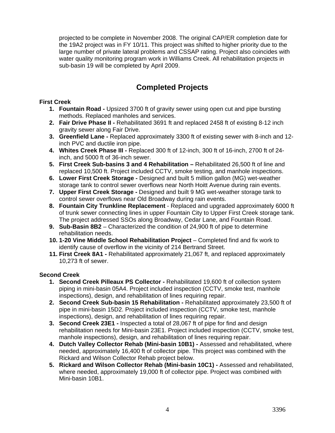projected to be complete in November 2008. The original CAP/ER completion date for the 19A2 project was in FY 10/11. This project was shifted to higher priority due to the large number of private lateral problems and CSSAP rating. Project also coincides with water quality monitoring program work in Williams Creek. All rehabilitation projects in sub-basin 19 will be completed by April 2009.

## **Completed Projects**

### **First Creek**

- **1. Fountain Road** Upsized 3700 ft of gravity sewer using open cut and pipe bursting methods. Replaced manholes and services.
- **2. Fair Drive Phase II** Rehabilitated 3691 ft and replaced 2458 ft of existing 8-12 inch gravity sewer along Fair Drive.
- **3. Greenfield Lane** Replaced approximately 3300 ft of existing sewer with 8-inch and 12 inch PVC and ductile iron pipe.
- **4. Whites Creek Phase III** Replaced 300 ft of 12-inch, 300 ft of 16-inch, 2700 ft of 24 inch, and 5000 ft of 36-inch sewer.
- **5. First Creek Sub-basins 3 and 4 Rehabilitation** Rehabilitated 26,500 ft of line and replaced 10,500 ft. Project included CCTV, smoke testing, and manhole inspections.
- **6. Lower First Creek Storage** Designed and built 5 million gallon (MG) wet-weather storage tank to control sewer overflows near North Hoitt Avenue during rain events.
- **7. Upper First Creek Storage** Designed and built 9 MG wet-weather storage tank to control sewer overflows near Old Broadway during rain events.
- **8. Fountain City Trunkline Replacement**  Replaced and upgraded approximately 6000 ft of trunk sewer connecting lines in upper Fountain City to Upper First Creek storage tank. The project addressed SSOs along Broadway, Cedar Lane, and Fountain Road.
- **9. Sub-Basin 8B2** Characterized the condition of 24,900 ft of pipe to determine rehabilitation needs.
- **10. 1-20 Vine Middle School Rehabilitation Project** Completed find and fix work to identify cause of overflow in the vicinity of 214 Bertrand Street.
- **11. First Creek 8A1 -** Rehabilitated approximately 21,067 ft, and replaced approximately 10,273 ft of sewer.

#### **Second Creek**

- **1. Second Creek Pilleaux PS Collector** Rehabilitated 19,600 ft of collection system piping in mini-basin 05A4. Project included inspection (CCTV, smoke test, manhole inspections), design, and rehabilitation of lines requiring repair.
- **2. Second Creek Sub-basin 15 Rehabilitation** Rehabilitated approximately 23,500 ft of pipe in mini-basin 15D2. Project included inspection (CCTV, smoke test, manhole inspections), design, and rehabilitation of lines requiring repair.
- **3. Second Creek 23E1 -** Inspected a total of 28,067 ft of pipe for find and design rehabilitation needs for Mini-basin 23E1. Project included inspection (CCTV, smoke test, manhole inspections), design, and rehabilitation of lines requiring repair.
- **4. Dutch Valley Collector Rehab (Mini-basin 10B1)** Assessed and rehabilitated, where needed, approximately 16,400 ft of collector pipe. This project was combined with the Rickard and Wilson Collector Rehab project below.
- **5. Rickard and Wilson Collector Rehab (Mini-basin 10C1)** Assessed and rehabilitated, where needed, approximately 19,000 ft of collector pipe. Project was combined with Mini-basin 10B1.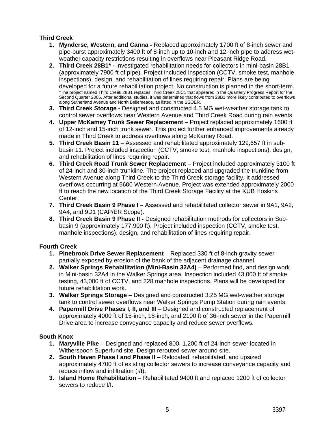## **Third Creek**

- **1. Mynderse, Western, and Canna** Replaced approximately 1700 ft of 8-inch sewer and pipe-burst approximately 3400 ft of 8-inch up to 10-inch and 12-inch pipe to address wetweather capacity restrictions resulting in overflows near Pleasant Ridge Road.
- **2. Third Creek 28B1\*** Investigated rehabilitation needs for collectors in mini-basin 28B1 (approximately 7900 ft of pipe). Project included inspection (CCTV, smoke test, manhole inspections), design, and rehabilitation of lines requiring repair. Plans are being developed for a future rehabilitation project. No construction is planned in the short-term. \*The project named Third Creek 28B1 replaces Third Creek 28C1 that appeared in the Quarterly Progress Report for the Second Quarter 2005. After additional studies, it was determined that flows from 28B1 more likely contributed to overflows along Sutherland Avenue and North Bellemeade, as listed in the SSOER.
- **3. Third Creek Storage** Designed and constructed 4.5 MG wet-weather storage tank to control sewer overflows near Western Avenue and Third Creek Road during rain events.
- **4. Upper McKamey Trunk Sewer Replacement**  Project replaced approximately 1600 ft of 12-inch and 15-inch trunk sewer. This project further enhanced improvements already made in Third Creek to address overflows along McKamey Road.
- **5. Third Creek Basin 11** Assessed and rehabilitated approximately 129,657 ft in subbasin 11. Project included inspection (CCTV, smoke test, manhole inspections), design, and rehabilitation of lines requiring repair.
- **6. Third Creek Road Trunk Sewer Replacement**  Project included approximately 3100 ft of 24-inch and 30-inch trunkline. The project replaced and upgraded the trunkline from Western Avenue along Third Creek to the Third Creek storage facility. It addressed overflows occurring at 5600 Western Avenue. Project was extended approximately 2000 ft to reach the new location of the Third Creek Storage Facility at the KUB Hoskins Center.
- **7. Third Creek Basin 9 Phase I** Assessed and rehabilitated collector sewer in 9A1, 9A2, 9A4, and 9D1 (CAP/ER Scope).
- **8. Third Creek Basin 9 Phase II** Designed rehabilitation methods for collectors in Subbasin 9 (approximately 177,900 ft). Project included inspection (CCTV, smoke test, manhole inspections), design, and rehabilitation of lines requiring repair.

## **Fourth Creek**

- **1. Pinebrook Drive Sewer Replacement** Replaced 330 ft of 8-inch gravity sewer partially exposed by erosion of the bank of the adjacent drainage channel.
- **2. Walker Springs Rehabilitation (Mini-Basin 32A4)** Performed find, and design work in Mini-basin 32A4 in the Walker Springs area. Inspection included 43,000 ft of smoke testing, 43,000 ft of CCTV, and 228 manhole inspections. Plans will be developed for future rehabilitation work.
- **3. Walker Springs Storage** Designed and constructed 3.25 MG wet-weather storage tank to control sewer overflows near Walker Springs Pump Station during rain events.
- **4. Papermill Drive Phases I, II, and III** Designed and constructed replacement of approximately 4000 ft of 15-inch, 18-inch, and 2100 ft of 36-inch sewer in the Papermill Drive area to increase conveyance capacity and reduce sewer overflows.

## **South Knox**

- **1. Maryville Pike** Designed and replaced 800–1,200 ft of 24-inch sewer located in Witherspoon Superfund site. Design rerouted sewer around site.
- **2. South Haven Phase I and Phase II** Relocated, rehabilitated, and upsized approximately 4700 ft of existing collector sewers to increase conveyance capacity and reduce inflow and infiltration (I/I).
- **3. Island Home Rehabilitation** Rehabilitated 9400 ft and replaced 1200 ft of collector sewers to reduce I/I.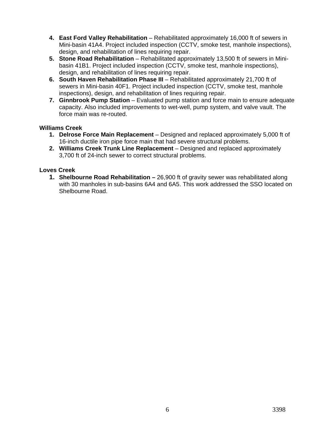- **4. East Ford Valley Rehabilitation** Rehabilitated approximately 16,000 ft of sewers in Mini-basin 41A4. Project included inspection (CCTV, smoke test, manhole inspections), design, and rehabilitation of lines requiring repair.
- **5. Stone Road Rehabilitation** Rehabilitated approximately 13,500 ft of sewers in Minibasin 41B1. Project included inspection (CCTV, smoke test, manhole inspections), design, and rehabilitation of lines requiring repair.
- **6. South Haven Rehabilitation Phase III** Rehabilitated approximately 21,700 ft of sewers in Mini-basin 40F1. Project included inspection (CCTV, smoke test, manhole inspections), design, and rehabilitation of lines requiring repair.
- **7. Ginnbrook Pump Station** Evaluated pump station and force main to ensure adequate capacity. Also included improvements to wet-well, pump system, and valve vault. The force main was re-routed.

#### **Williams Creek**

- **1. Delrose Force Main Replacement** Designed and replaced approximately 5,000 ft of 16-inch ductile iron pipe force main that had severe structural problems.
- **2. Williams Creek Trunk Line Replacement** Designed and replaced approximately 3,700 ft of 24-inch sewer to correct structural problems.

#### **Loves Creek**

**1. Shelbourne Road Rehabilitation –** 26,900 ft of gravity sewer was rehabilitated along with 30 manholes in sub-basins 6A4 and 6A5. This work addressed the SSO located on Shelbourne Road.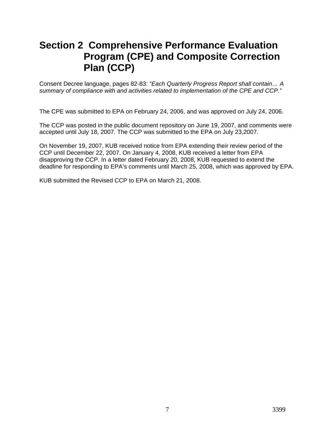# **Section 2 Comprehensive Performance Evaluation Program (CPE) and Composite Correction Plan (CCP)**

Consent Decree language, pages 82-83: *"Each Quarterly Progress Report shall contain… A summary of compliance with and activities related to implementation of the CPE and CCP."*

The CPE was submitted to EPA on February 24, 2006, and was approved on July 24, 2006.

The CCP was posted in the public document repository on June 19, 2007, and comments were accepted until July 18, 2007. The CCP was submitted to the EPA on July 23,2007.

On November 19, 2007, KUB received notice from EPA extending their review period of the CCP until December 22, 2007. On January 4, 2008, KUB received a letter from EPA disapproving the CCP. In a letter dated February 20, 2008, KUB requested to extend the deadline for responding to EPA's comments until March 25, 2008, which was approved by EPA.

KUB submitted the Revised CCP to EPA on March 21, 2008.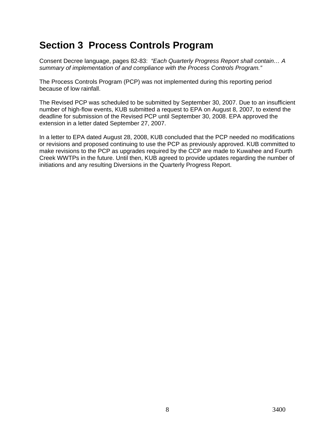# **Section 3 Process Controls Program**

Consent Decree language, pages 82-83: *"Each Quarterly Progress Report shall contain… A summary of implementation of and compliance with the Process Controls Program."*

The Process Controls Program (PCP) was not implemented during this reporting period because of low rainfall.

The Revised PCP was scheduled to be submitted by September 30, 2007. Due to an insufficient number of high-flow events, KUB submitted a request to EPA on August 8, 2007, to extend the deadline for submission of the Revised PCP until September 30, 2008. EPA approved the extension in a letter dated September 27, 2007.

In a letter to EPA dated August 28, 2008, KUB concluded that the PCP needed no modifications or revisions and proposed continuing to use the PCP as previously approved. KUB committed to make revisions to the PCP as upgrades required by the CCP are made to Kuwahee and Fourth Creek WWTPs in the future. Until then, KUB agreed to provide updates regarding the number of initiations and any resulting Diversions in the Quarterly Progress Report.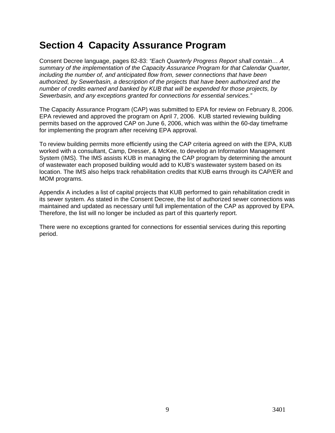# **Section 4 Capacity Assurance Program**

Consent Decree language, pages 82-83: *"Each Quarterly Progress Report shall contain… A summary of the implementation of the Capacity Assurance Program for that Calendar Quarter, including the number of, and anticipated flow from, sewer connections that have been authorized, by Sewerbasin, a description of the projects that have been authorized and the number of credits earned and banked by KUB that will be expended for those projects, by Sewerbasin, and any exceptions granted for connections for essential services."*

The Capacity Assurance Program (CAP) was submitted to EPA for review on February 8, 2006. EPA reviewed and approved the program on April 7, 2006. KUB started reviewing building permits based on the approved CAP on June 6, 2006, which was within the 60-day timeframe for implementing the program after receiving EPA approval.

To review building permits more efficiently using the CAP criteria agreed on with the EPA, KUB worked with a consultant, Camp, Dresser, & McKee, to develop an Information Management System (IMS). The IMS assists KUB in managing the CAP program by determining the amount of wastewater each proposed building would add to KUB's wastewater system based on its location. The IMS also helps track rehabilitation credits that KUB earns through its CAP/ER and MOM programs.

Appendix A includes a list of capital projects that KUB performed to gain rehabilitation credit in its sewer system. As stated in the Consent Decree, the list of authorized sewer connections was maintained and updated as necessary until full implementation of the CAP as approved by EPA. Therefore, the list will no longer be included as part of this quarterly report.

There were no exceptions granted for connections for essential services during this reporting period.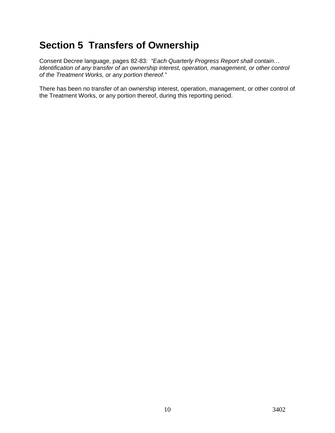# **Section 5 Transfers of Ownership**

Consent Decree language, pages 82-83: *"Each Quarterly Progress Report shall contain… Identification of any transfer of an ownership interest, operation, management, or other control of the Treatment Works, or any portion thereof."* 

There has been no transfer of an ownership interest, operation, management, or other control of the Treatment Works, or any portion thereof, during this reporting period.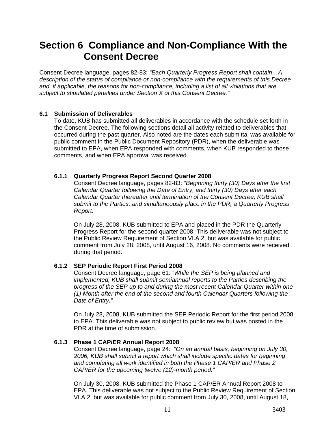## **Section 6 Compliance and Non-Compliance With the Consent Decree**

Consent Decree language, pages 82-83: *"Each Quarterly Progress Report shall contain…A description of the status of compliance or non-compliance with the requirements of this Decree and, if applicable, the reasons for non-compliance, including a list of all violations that are subject to stipulated penalties under Section X of this Consent Decree."*

#### **6.1 Submission of Deliverables**

To date, KUB has submitted all deliverables in accordance with the schedule set forth in the Consent Decree. The following sections detail all activity related to deliverables that occurred during the past quarter. Also noted are the dates each submittal was available for public comment in the Public Document Repository (PDR), when the deliverable was submitted to EPA, when EPA responded with comments, when KUB responded to those comments, and when EPA approval was received.

#### **6.1.1 Quarterly Progress Report Second Quarter 2008**

Consent Decree language, pages 82-83: *"Beginning thirty (30) Days after the first Calendar Quarter following the Date of Entry, and thirty (30) Days after each Calendar Quarter thereafter until termination of the Consent Decree, KUB shall submit to the Parties, and simultaneously place in the PDR, a Quarterly Progress Report.*

On July 28, 2008, KUB submitted to EPA and placed in the PDR the Quarterly Progress Report for the second quarter 2008. This deliverable was not subject to the Public Review Requirement of Section VI.A.2, but was available for public comment from July 28, 2008, until August 16, 2008. No comments were received during that period.

## **6.1.2 SEP Periodic Report First Period 2008**

Consent Decree language, page 61: *"While the SEP is being planned and implemented, KUB shall submit semiannual reports to the Parties describing the progress of the SEP up to and during the most recent Calendar Quarter within one (1) Month after the end of the second and fourth Calendar Quarters following the Date of Entry."*

On July 28, 2008, KUB submitted the SEP Periodic Report for the first period 2008 to EPA. This deliverable was not subject to public review but was posted in the PDR at the time of submission.

#### **6.1.3 Phase 1 CAP/ER Annual Report 2008**

Consent Decree language, page 24: *"On an annual basis, beginning on July 30, 2006, KUB shall submit a report which shall include specific dates for beginning and completing all work identified in both the Phase 1 CAP/ER and Phase 2 CAP/ER for the upcoming twelve (12)-month period."*

On July 30, 2008, KUB submitted the Phase 1 CAP/ER Annual Report 2008 to EPA. This deliverable was not subject to the Public Review Requirement of Section VI.A.2, but was available for public comment from July 30, 2008, until August 18,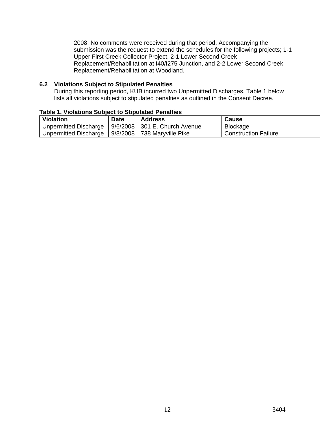2008. No comments were received during that period. Accompanying the submission was the request to extend the schedules for the following projects; 1-1 Upper First Creek Collector Project, 2-1 Lower Second Creek Replacement/Rehabilitation at I40/I275 Junction, and 2-2 Lower Second Creek Replacement/Rehabilitation at Woodland.

#### **6.2 Violations Subject to Stipulated Penalties**

During this reporting period, KUB incurred two Unpermitted Discharges. Table 1 below lists all violations subject to stipulated penalties as outlined in the Consent Decree.

| <b>Violation</b>      | Date     | <b>Address</b>                  | <b>Cause</b>                |
|-----------------------|----------|---------------------------------|-----------------------------|
| Unpermitted Discharge |          | 9/6/2008   301 E. Church Avenue | <b>Blockage</b>             |
| Unpermitted Discharge | 9/8/2008 | 738 Maryville Pike              | <b>Construction Failure</b> |

### **Table 1. Violations Subject to Stipulated Penalties**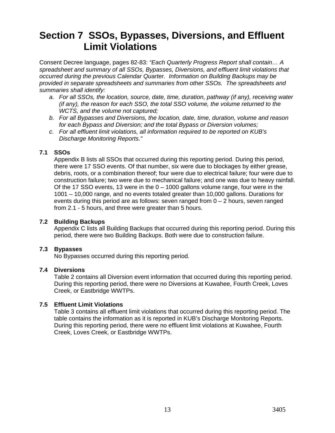# **Section 7 SSOs, Bypasses, Diversions, and Effluent Limit Violations**

Consent Decree language, pages 82-83: *"Each Quarterly Progress Report shall contain… A spreadsheet and summary of all SSOs, Bypasses, Diversions, and effluent limit violations that occurred during the previous Calendar Quarter. Information on Building Backups may be provided in separate spreadsheets and summaries from other SSOs. The spreadsheets and summaries shall identify:* 

- *a. For all SSOs, the location, source, date, time, duration, pathway (if any), receiving water (if any), the reason for each SSO, the total SSO volume, the volume returned to the WCTS, and the volume not captured;*
- *b. For all Bypasses and Diversions, the location, date, time, duration, volume and reason for each Bypass and Diversion; and the total Bypass or Diversion volumes;*
- *c. For all effluent limit violations, all information required to be reported on KUB's Discharge Monitoring Reports."*

#### **7.1 SSOs**

Appendix B lists all SSOs that occurred during this reporting period. During this period, there were 17 SSO events. Of that number, six were due to blockages by either grease, debris, roots, or a combination thereof; four were due to electrical failure; four were due to construction failure; two were due to mechanical failure; and one was due to heavy rainfall. Of the 17 SSO events, 13 were in the  $0 - 1000$  gallons volume range, four were in the 1001 – 10,000 range, and no events totaled greater than 10,000 gallons. Durations for events during this period are as follows: seven ranged from  $0 - 2$  hours, seven ranged from 2.1 - 5 hours, and three were greater than 5 hours.

#### **7.2 Building Backups**

Appendix C lists all Building Backups that occurred during this reporting period. During this period, there were two Building Backups. Both were due to construction failure.

#### **7.3 Bypasses**

No Bypasses occurred during this reporting period.

#### **7.4 Diversions**

Table 2 contains all Diversion event information that occurred during this reporting period. During this reporting period, there were no Diversions at Kuwahee, Fourth Creek, Loves Creek, or Eastbridge WWTPs.

#### **7.5 Effluent Limit Violations**

Table 3 contains all effluent limit violations that occurred during this reporting period. The table contains the information as it is reported in KUB's Discharge Monitoring Reports. During this reporting period, there were no effluent limit violations at Kuwahee, Fourth Creek, Loves Creek, or Eastbridge WWTPs.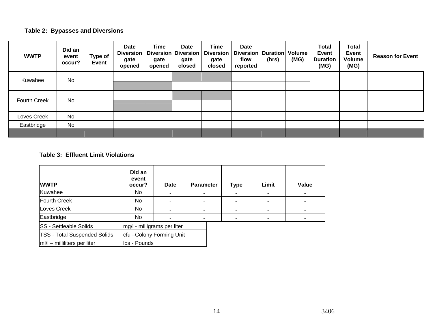## **Table 2: Bypasses and Diversions**

| <b>WWTP</b>         | Did an<br>event<br>occur? | Type of<br><b>Event</b> | <b>Date</b><br><b>Diversion</b><br>gate<br>opened | <b>Time</b><br>gate<br>opened | Date<br>Diversion Diversion<br>gate<br>closed | <b>Time</b><br><b>Diversion</b><br>gate<br>closed | <b>Date</b><br>Diversion   Duration   Volume<br>flow<br>reported | (hrs) | (MG) | <b>Total</b><br><b>Event</b><br><b>Duration</b><br>(MG) | <b>Total</b><br><b>Event</b><br><b>Volume</b><br>(MG) | <b>Reason for Event</b> |
|---------------------|---------------------------|-------------------------|---------------------------------------------------|-------------------------------|-----------------------------------------------|---------------------------------------------------|------------------------------------------------------------------|-------|------|---------------------------------------------------------|-------------------------------------------------------|-------------------------|
| Kuwahee             | No                        |                         |                                                   |                               |                                               |                                                   |                                                                  |       |      |                                                         |                                                       |                         |
| <b>Fourth Creek</b> | No                        |                         |                                                   |                               |                                               |                                                   |                                                                  |       |      |                                                         |                                                       |                         |
| Loves Creek         | <b>No</b>                 |                         |                                                   |                               |                                               |                                                   |                                                                  |       |      |                                                         |                                                       |                         |
| Eastbridge          | No                        |                         |                                                   |                               |                                               |                                                   |                                                                  |       |      |                                                         |                                                       |                         |
|                     |                           |                         |                                                   |                               |                                               |                                                   |                                                                  |       |      |                                                         |                                                       |                         |

#### **Table 3: Effluent Limit Violations**

| <b>WWTP</b>                         | Did an<br>event<br>occur?   | <b>Date</b>             | <b>Parameter</b>         | Type | Limit | Value |
|-------------------------------------|-----------------------------|-------------------------|--------------------------|------|-------|-------|
| Kuwahee                             | No.                         | $\blacksquare$          |                          |      |       |       |
| Fourth Creek                        | No.                         | $\blacksquare$          | -                        |      |       |       |
| Loves Creek                         | No.                         |                         |                          |      |       |       |
| Eastbridge                          | No.<br>۰                    |                         | $\overline{\phantom{0}}$ |      |       |       |
| <b>SS - Settleable Solids</b>       | mg/l - milligrams per liter |                         |                          |      |       |       |
| <b>TSS - Total Suspended Solids</b> |                             | cfu-Colony Forming Unit |                          |      |       |       |
| $ m /l$ – milliliters per liter     | lbs - Pounds                |                         |                          |      |       |       |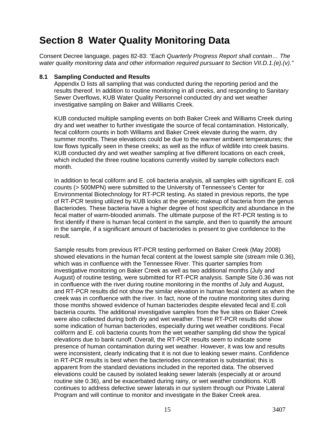# **Section 8 Water Quality Monitoring Data**

Consent Decree language, pages 82-83: *"Each Quarterly Progress Report shall contain… The water quality monitoring data and other information required pursuant to Section VII.D.1.(e).(v)."*

#### **8.1 Sampling Conducted and Results**

Appendix D lists all sampling that was conducted during the reporting period and the results thereof. In addition to routine monitoring in all creeks, and responding to Sanitary Sewer Overflows, KUB Water Quality Personnel conducted dry and wet weather investigative sampling on Baker and Williams Creek.

KUB conducted multiple sampling events on both Baker Creek and Williams Creek during dry and wet weather to further investigate the source of fecal contamination. Historically, fecal coliform counts in both Williams and Baker Creek elevate during the warm, dry summer months. These elevations could be due to the warmer ambient temperatures; the low flows typically seen in these creeks; as well as the influx of wildlife into creek basins. KUB conducted dry and wet weather sampling at five different locations on each creek, which included the three routine locations currently visited by sample collectors each month.

In addition to fecal coliform and E. coli bacteria analysis, all samples with significant E. coli counts (> 500MPN) were submitted to the University of Tennessee's Center for Environmental Biotechnology for RT-PCR testing. As stated in previous reports, the type of RT-PCR testing utilized by KUB looks at the genetic makeup of bacteria from the genus Bacteriodes. These bacteria have a higher degree of host specificity and abundance in the fecal matter of warm-blooded animals. The ultimate purpose of the RT-PCR testing is to first identify if there is human fecal content in the sample, and then to quantify the amount in the sample, if a significant amount of bacteriodes is present to give confidence to the result.

Sample results from previous RT-PCR testing performed on Baker Creek (May 2008) showed elevations in the human fecal content at the lowest sample site (stream mile 0.36), which was in confluence with the Tennessee River. This quarter samples from investigative monitoring on Baker Creek as well as two additional months (July and August) of routine testing, were submitted for RT-PCR analysis. Sample Site 0.36 was not in confluence with the river during routine monitoring in the months of July and August, and RT-PCR results did not show the similar elevation in human fecal content as when the creek was in confluence with the river. In fact, none of the routine monitoring sites during those months showed evidence of human bacteriodes despite elevated fecal and E.coli bacteria counts. The additional investigative samples from the five sites on Baker Creek were also collected during both dry and wet weather. These RT-PCR results did show some indication of human bacteriodes, especially during wet weather conditions. Fecal coliform and E. coli bacteria counts from the wet weather sampling did show the typical elevations due to bank runoff. Overall, the RT-PCR results seem to indicate some presence of human contamination during wet weather. However, it was low and results were inconsistent, clearly indicating that it is not due to leaking sewer mains. Confidence in RT-PCR results is best when the bacteriodes concentration is substantial; this is apparent from the standard deviations included in the reported data. The observed elevations could be caused by isolated leaking sewer laterals (especially at or around routine site 0.36), and be exacerbated during rainy, or wet weather conditions. KUB continues to address defective sewer laterals in our system through our Private Lateral Program and will continue to monitor and investigate in the Baker Creek area.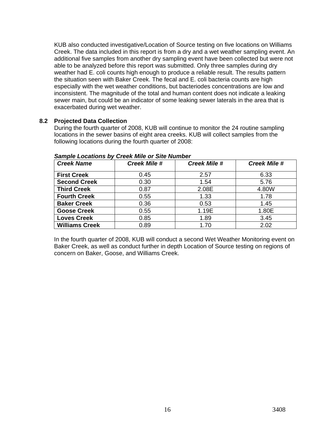KUB also conducted investigative/Location of Source testing on five locations on Williams Creek. The data included in this report is from a dry and a wet weather sampling event. An additional five samples from another dry sampling event have been collected but were not able to be analyzed before this report was submitted. Only three samples during dry weather had E. coli counts high enough to produce a reliable result. The results pattern the situation seen with Baker Creek. The fecal and E. coli bacteria counts are high especially with the wet weather conditions, but bacteriodes concentrations are low and inconsistent. The magnitude of the total and human content does not indicate a leaking sewer main, but could be an indicator of some leaking sewer laterals in the area that is exacerbated during wet weather.

#### **8.2 Projected Data Collection**

During the fourth quarter of 2008, KUB will continue to monitor the 24 routine sampling locations in the sewer basins of eight area creeks. KUB will collect samples from the following locations during the fourth quarter of 2008:

| <b>Creek Name</b>     | <b>Creek Mile #</b> | <b>Creek Mile #</b> | <b>Creek Mile #</b> |
|-----------------------|---------------------|---------------------|---------------------|
|                       |                     |                     |                     |
| <b>First Creek</b>    | 0.45                | 2.57                | 6.33                |
| <b>Second Creek</b>   | 0.30                | 1.54                | 5.76                |
| <b>Third Creek</b>    | 0.87                | 2.08E               | 4.80W               |
| <b>Fourth Creek</b>   | 0.55                | 1.33                | 1.78                |
| <b>Baker Creek</b>    | 0.36                | 0.53                | 1.45                |
| <b>Goose Creek</b>    | 0.55                | 1.19E               | 1.80E               |
| <b>Loves Creek</b>    | 0.85                | 1.89                | 3.45                |
| <b>Williams Creek</b> | 0.89                | 1.70                | 2.02                |

*Sample Locations by Creek Mile or Site Number* 

In the fourth quarter of 2008, KUB will conduct a second Wet Weather Monitoring event on Baker Creek, as well as conduct further in depth Location of Source testing on regions of concern on Baker, Goose, and Williams Creek.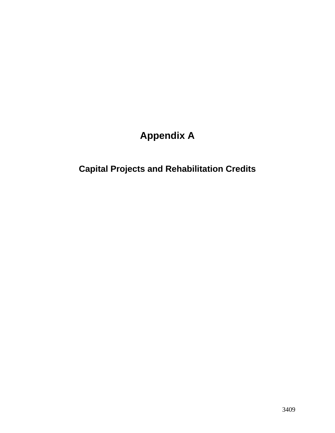# **Appendix A**

# **Capital Projects and Rehabilitation Credits**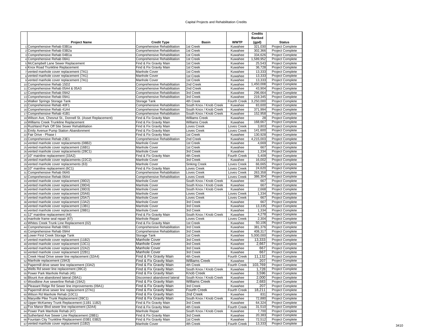#### Capital Projects and Rehabilitation Credits

|                                                                                                         |                                                              |                                                    |                                | <b>Credits</b>    |                                                    |
|---------------------------------------------------------------------------------------------------------|--------------------------------------------------------------|----------------------------------------------------|--------------------------------|-------------------|----------------------------------------------------|
|                                                                                                         |                                                              |                                                    |                                | <b>Banked</b>     |                                                    |
| <b>Project Name</b><br>1 Comprehensive Rehab 03B1a                                                      | <b>Credit Type</b><br>Comprehensive Rehabilitation           | Basin<br>1st Creek                                 | <b>WWTP</b><br>Kuwahee         | (gpd)<br>321,030  | <b>Status</b><br><b>Project Complete</b>           |
| 2 Comprehensive Rehab 03B2a                                                                             | Comprehensive Rehabilitation                                 | 1st Creek                                          | Kuwahee                        | 302,366           | Project Complete                                   |
| 3 Comprehensive Rehab 04B1a                                                                             | Comprehensive Rehabilitation                                 | 1st Creek                                          | Kuwahee                        | 334,626           | <b>Project Complete</b>                            |
| 4 Comprehensive Rehab 08A1                                                                              | Comprehensive Rehabilitation                                 | 1st Creek                                          | Kuwahee                        | 1,589,952         | Project Complete                                   |
| 5 McCampbell Lane Sewer Replacement                                                                     | Find & Fix Gravity Main                                      | 1st Creek                                          | Kuwahee                        | 25,543            | <b>Project Complete</b>                            |
| 6 Knox Road Trunkline Replacement                                                                       | Find & Fix Gravity Main                                      | 1st Creek                                          | Kuwahee                        | 36,728            | <b>Project Complete</b>                            |
| 7 vented manhole cover replacement (7A1)                                                                | Manhole Cover                                                | 1st Creek                                          | Kuwahee                        | 13,333            | <b>Project Complete</b>                            |
| 8 vented manhole cover replacement (7A1)<br>9 vented manhole cover replacement (7A1)                    | Manhole Cover<br>Manhole Cover                               | 1st Creek<br>1st Creek                             | Kuwahee<br>Kuwahee             | 13,333<br>13,333  | <b>Project Complete</b><br><b>Project Complete</b> |
| 10 Comprehensive Rehab 15D2                                                                             | Comprehensive Rehabilitation                                 | 2nd Creek                                          | Kuwahee                        | 1,450,008         | Project Complete                                   |
| 11 Comprehensive Rehab 05A4 & 05A3                                                                      | Comprehensive Rehabilitation                                 | 2nd Creek                                          | Kuwahee                        | 43,904            | <b>Project Complete</b>                            |
| 12 Comprehensive Rehab 09A2                                                                             | Comprehensive Rehabilitation                                 | 3rd Creek                                          | Kuwahee                        | 296,664           | <b>Project Complete</b>                            |
| 13 Comprehensive Rehab 09A1                                                                             | Comprehensive Rehabilitation                                 | 3rd Creek                                          | Kuwahee                        | 219,345           | <b>Project Complete</b>                            |
| 14 Walker Springs Storage Tank                                                                          | Storage Tank                                                 | 4th Creek                                          | <b>Fourth Creek</b>            | 3,250,000         | <b>Project Complete</b>                            |
| 15 Comprehensive Rehab 40F1<br>16 Comprehensive Rehab 41A4                                              | Comprehensive Rehabilitation                                 | South Knox / Knob Creek<br>South Knox / Knob Creek | Kuwahee                        | 83,600<br>371,994 | <b>Project Complete</b><br><b>Project Complete</b> |
| 17 Comprehensive Rehab 41B1                                                                             | Comprehensive Rehabilitation<br>Comprehensive Rehabilitation | South Knox / Knob Creek                            | Kuwahee<br>Kuwahee             | 152,958           | <b>Project Complete</b>                            |
| 18 Wilson Ave, Chesnut St., Donnell St. (Asset Replacement)                                             | Find & Fix Gravity Main                                      | Williams Creek                                     | Kuwahee                        | 28                | <b>Project Complete</b>                            |
| 19 Williams Creek Trunkline Replacement                                                                 | Find & Fix Gravity Main                                      | Williams Creek                                     | Kuwahee                        | 168,667           | <b>Project Complete</b>                            |
| 20 Rushland Park Off Site Sewer Rehabilitation                                                          | Find & Fix Gravity Main                                      | Loves Creek                                        | Loves Creek                    | 3,803             | Project Complete                                   |
| 21 Emily Avenue Pump Station Abandonment                                                                | Find & Fix Gravity Main                                      | Loves Creek                                        | Loves Creek                    | 141,600           | <b>Project Complete</b>                            |
| 22 Fair Drive - Phase I                                                                                 | Find & Fix Gravity Main                                      | 1st Creek                                          | Kuwahee                        | 130,928           | <b>Project Complete</b>                            |
| 23 Comprehensive Rehab 23E1                                                                             | Comprehensive Rehabilitation                                 | 2nd Creek                                          | Kuwahee                        | 4,215,003         | <b>Project Complete</b>                            |
| 24 vented manhole cover replacements (08B2)<br>25 vented manhole cover replacement (16B1)               | Manhole Cover<br>Manhole Cover                               | 1st Creek<br>1st Creek                             | Kuwahee<br>Kuwahee             | 4,669<br>667      | <b>Project Complete</b><br><b>Project Complete</b> |
| 26 vented manhole cover replacements (28C1)                                                             | Manhole Cover                                                | 3rd Creek                                          | Kuwahee                        | 1,334             | <b>Project Complete</b>                            |
| 27 10" mainline replacement (33A2)                                                                      | Find & Fix Gravity Main                                      | 4th Creek                                          | <b>Fourth Creek</b>            | 5,409             | Project Complete                                   |
| 28 vented manhole cover replacements (22C2)                                                             | Manhole Cover                                                | 3rd Creek                                          | Kuwahee                        | 16,002            | Project Complete                                   |
| 29 vented manhole cover replacements (63)                                                               | Manhole Cover                                                | Sinking Creek                                      | Loves Creek                    | 66,665            | Project Complete                                   |
| 30 10" mainline replacement (6C1)                                                                       | Find & Fix Gravity Main                                      | Loves Creek                                        | Loves Creek                    | 24,620            | <b>Project Complete</b>                            |
| 31 Comprehensive Rehab 06A5                                                                             | Comprehensive Rehabilitation                                 | Loves Creek                                        | Loves Creek                    | 263,358           | Project Complete                                   |
| 32 Comprehensive Rehab 06A4                                                                             | Comprehensive Rehabilitation                                 | Loves Creek                                        | Loves Creek<br>Kuwahee         | 386,304           | Project Complete                                   |
| 33 vented manhole cover replacement (39D2)<br>34 vented manhole cover replacement (39D4)                | Manhole Cover<br>Manhole Cover                               | South Knox / Knob Creek<br>South Knox / Knob Creek | Kuwahee                        | 667<br>667        | <b>Project Complete</b><br>Project Complete        |
| 35 vented manhole cover replacement (39D3)                                                              | Manhole Cover                                                | South Knox / Knob Creek                            | Kuwahee                        | 2,668             | Project Complete                                   |
| 36 vented manhole cover replacement (20A6)                                                              | Manhole Cover                                                | Loves Creek                                        | Loves Creek                    | 1,334             | Project Complete                                   |
| 37 vented manhole cover replacement (20A7)                                                              | Manhole Cover                                                | Loves Creek                                        | Loves Creek                    | 667               | <b>Project Complete</b>                            |
| 38 vented manhole cover replacement (13A2)                                                              | Manhole Cover                                                | 3rd Creek                                          | Kuwahee                        | 667               | <b>Project Complete</b>                            |
| 39 vented manhole cover replacement (13B1)                                                              | Manhole Cover                                                | 3rd Creek                                          | Kuwahee                        | 13,335            | <b>Project Complete</b>                            |
| 40 vented manhole cover replacement (28B1)                                                              | Manhole Cover<br>Find & Fix Gravity Main                     | 3rd Creek                                          | Kuwahee                        | 1,334             | <b>Project Complete</b>                            |
| 41 12" mainline replacement (44)<br>42 manhole frame seal repair (67)                                   | Manhole Repair                                               | South Knox / Knob Creek<br>Loves Creek             | Kuwahee<br>Loves Creek         | 4,278<br>2,304    | <b>Project Complete</b><br><b>Project Complete</b> |
| 43 Whites Creek Trunk Line Replacement (02)                                                             | Find & Fix Gravity Main                                      | 1st Creek                                          | Kuwahee                        | 50,106            | <b>Project Complete</b>                            |
| 44 Comprehensive Rehab 09D1                                                                             | Comprehensive Rehabilitation                                 | 3rd Creek                                          | Kuwahee                        | 381,376           | <b>Project Complete</b>                            |
| 45 Comprehensive Rehab 09A4                                                                             | Comprehensive Rehabilitation                                 | 3rd Creek                                          | Kuwahee                        | 408,317           | Project Complete                                   |
| 46 Lower First Creek Storage Tank                                                                       | Storage Tank                                                 | 1st Creek                                          | Kuwahee                        | 5,000,000         | <b>Project Complete</b>                            |
| 47 vented manhole cover replacement (11B2)                                                              | Manhole Cover                                                | 3rd Creek                                          | Kuwahee                        | 13,333            | <b>Project Complete</b>                            |
| 48 vented manhole cover replacement (13C1)                                                              | <b>Manhole Cover</b>                                         | 3rd Creek                                          | Kuwahee                        | 2,667             | <b>Project Complete</b>                            |
| 49 vented manhole cover replacement (22A2)<br>50 vented manhole cover replacement (22B1)                | Manhole Cover                                                | 3rd Creek                                          | Kuwahee                        | 667<br>667        | <b>Project Complete</b>                            |
| 51 Creek Head Drive sewer line replacement (32A4)                                                       | Manhole Cover<br>Find & Fix Gravity Main                     | 3rd Creek<br>4th Creek                             | Kuwahee<br><b>Fourth Creek</b> | 11,132            | Project Complete<br><b>Project Complete</b>        |
| 52 Manhole replacement (19A3)                                                                           | Find & Fix Gravity Main                                      | <b>Williams Creek</b>                              | Kuwahee                        | 207               | Project Complete                                   |
| 53 Papermill drive sewer line replacement (33A2)                                                        | Find & Fix Gravity Main                                      | 4th Creek                                          | Fourth Creek                   | 103,769           | Project Complete                                   |
| 54 Wells Rd sewer line replacement (39C2)                                                               | Find & Fix Gravity Main                                      | South Knox / Knob Creek                            | Kuwahee                        | 1,728             | Project Complete                                   |
| 55 Power Park Manhole Rehab (45)                                                                        | Find & Fix Gravity Main                                      | <b>Knob Creek</b>                                  | Kuwahee                        | 3,596             | <b>Project Complete</b>                            |
| 56 Blount Ave abandoned lateral (39A1)                                                                  | Disconnect abandoned lateral                                 | South Knox / Knob Creek                            | Kuwahee                        | 2,000             | <b>Project Complete</b>                            |
| 57 Woodbine Ave sewerline Rehab (19A2)                                                                  | Find & Fix Gravity Main                                      | <b>Williams Creek</b>                              | Kuwahee                        | 2,683             | Project Complete                                   |
| 58 Pleasant Ridge Rd Sewer line improvements (09A1)<br>59 Papermill drive sewer line replacement (27A1) | Find & Fix Gravity Main<br>Find & Fix Gravity Main           | 3rd Creek<br><b>Fourth Creek</b>                   | Kuwahee<br>Fourth Creek        | 207               | <b>Project Complete</b><br>Project Complete        |
| 60 Wilson Rd Manhole Rehab (10C1)                                                                       | Find & Fix Gravity Main                                      | 2nd Creek                                          | Kuwahee                        | 18,211<br>831     | Project Complete                                   |
| 61 Maryville Pike Trunk Replacement (39C1)                                                              | Find & Fix Gravity Main                                      | South Knox / Knob Creek                            | Kuwahee                        | 72,880            | Project Complete                                   |
| 62 Upper McKamey Trunk Replacement (11B1 11B2)                                                          | Find & Fix Gravity Main                                      | 3rd Creek                                          | Kuwahee                        | 64,324            | <b>Project Complete</b>                            |
| 63 Fox Manor Blvd sewer line replacement (32A4)                                                         | Find & Fix Gravity Main                                      | 4th Creek                                          | Fourth Creek                   | 31,510            | Project Complete                                   |
| 64 Power Park Manhole Rehab (47)                                                                        | Manhole Repair                                               | South Knox / Knob Creek                            | Kuwahee                        | 7,700             | Project Complete                                   |
| 65 Sutherland Ave Sewer Line Replacement (28B1)                                                         | Find & Fix Gravity Main                                      | 3rd Creek                                          | Kuwahee                        | 20,383            | Project Complete                                   |
| 66 Fountain City Trunkline Replacement (03B1 03B2)                                                      | Find & Fix Gravity Main                                      | 1st Creek                                          | Kuwahee                        | 72,512            | Project Complete                                   |
| 67 vented manhole cover replacement (11B2)                                                              | Manhole Cover                                                | 4th Creek                                          | Fourth Creek                   | 13,333            | Project Complete                                   |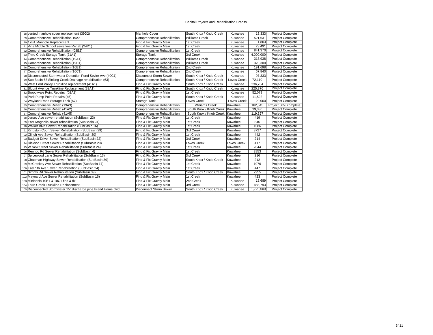#### Capital Projects and Rehabilitation Credits

| 68 vented manhole cover replacement (39D2)                      | Manhole Cover                 | South Knox / Knob Creek | Kuwahee     | 13.333    | <b>Project Complete</b> |
|-----------------------------------------------------------------|-------------------------------|-------------------------|-------------|-----------|-------------------------|
| 69 Comprehensive Rehabilitation 19A2                            | Comprehensive Rehabilitation  | <b>Williams Creek</b>   | Kuwahee     | 521.631   | <b>Project Complete</b> |
| 70 17B1 Manhole Replacement                                     | Find & Fix Gravity Main       | 1st Creek               | Kuwahee     | 1,803     | <b>Project Complete</b> |
| 71 Vine Middle School sewerline Rehab (24D1)                    | Find & Fix Gravity Main       | 1st Creek               | Kuwahee     | 23,491    | Project Complete        |
| 72 Comprehensive Rehabilitation (08B2)                          | Comprehensive Rehabilitation  | 1st Creek               | Kuwahee     | 841,370   | <b>Project Complete</b> |
| 73 Third Creek Storage Tank (21A1)                              | Storage Tank                  | 3rd Creek               | Kuwahee     | 4,000,000 | <b>Project Complete</b> |
| 74 Comprehensive Rehabiliation (19A1)                           | Comprehensive Rehabilitation  | <b>Williams Creek</b>   | Kuwahee     | 313,938   | <b>Project Complete</b> |
| 75 Comprehensive Rehabiliation (19B1)                           | Comprehensive Rehabilitation  | <b>Williams Creek</b>   | Kuwahee     | 328,300   | <b>Project Complete</b> |
| 76 Comprehensive Rehabiliation (10B1)                           | Comprehensive Rehabilitation  | 2nd Creek               | Kuwahee     | 191,698   | <b>Project Complete</b> |
| 77 Comprehensive Rehabiliation (10C1)                           | Comprehensive Rehabilitation  | 2nd Creek               | Kuwahee     | 67,840    | <b>Project Complete</b> |
| 78 Disconnected Stormwater Detention Pond Sevier Ave (40C1)     | <b>Disconnect Storm Sewer</b> | South Knox / Knob Creek | Kuwahee     | 97,333    | <b>Project Complete</b> |
| 79 Sub Basin 63 Sinking Creek Drainage rehabilitation (63)      | Comprehensive Rehabilitation  | South Knox / Knob Creek | Loves Creek | 72,110    | Project Complete        |
| 80 West Ford Valley Trunkline replacement (41A1)                | Find & Fix Gravity Main       | South Knox / Knob Creek | Kuwahee     | 236,704   | <b>Project Complete</b> |
| 81 Blount Avenue Trunkline Replacement (39A1)                   | Find & Fix Gravity Main       | South Knox / Knob Creek | Kuwahee     | 225,376   | <b>Project Complete</b> |
| 82 Broookvale Point Repairs (02A3)                              | Find & Fix Gravity Main       | 1st Creek               | Kuwahee     | 52,079    | <b>Project Complete</b> |
| 83 Park Pump Point Repairs (45)                                 | Find & Fix Gravity Main       | South Knox / Knob Creek | Kuwahee     | 11,522    | <b>Project Complete</b> |
| 84 Wayland Road Storage Tank (67)                               | Storage Tank                  | Loves Creek             | Loves Creek | 20,000    | <b>Project Complete</b> |
| 85 Comprehensive Rehab (19A3)                                   | Comprehensive Rehabilitation  | <b>Williams Creek</b>   | Kuwahee     | 162,545   | Project 50% complete    |
| 86 Comprehensive Rehab (41A2)                                   | Comprehensive Rehabilitation  | South Knox / Knob Creek | Kuwahee     | 39,330    | Project Complete        |
| 87 Comprehensive Rehab (41A5)                                   | Comprehensive Rehabilitation  | South Knox / Knob Creek | Kuwahee     | 119,327   | Project Complete        |
| 88 Jersey Ave sewer rehabilitation (SubBasin 23)                | Find & Fix Gravity Main       | 1st Creek               | Kuwahee     | 419       | <b>Project Complete</b> |
| 89 East Magnolia sewer rehabilitation (SubBasin 24)             | Find & Fix Gravity Main       | 1st Creek               | Kuwahee     | 846       | <b>Project Complete</b> |
| 90 Walker Blvd Sewer Rehabilitation (SubBasin 16)               | Find & Fix Gravity Main       | 1st Creek               | Kuwahee     | 1086      | <b>Project Complete</b> |
| 91 Kingston Court Sewer Rehabilitation (SubBasin 29)            | Find & Fix Gravity Main       | 3rd Creek               | Kuwahee     | 3727      | <b>Project Complete</b> |
| 92 Clinch Ave Sewer Rehabilitation (SubBasin 30)                | Find & Fix Gravity Main       | 1st Creek               | Kuwahee     | 442       | Project Complete        |
| 93 Badgett Drive Sewer Rehabilitation (SubBasin 22)             | Find & Fix Gravity Main       | 3rd Creek               | Kuwahee     | 214       | <b>Project Complete</b> |
| 94 Dickson Street Sewer Rehabilitation (SubBasin 20)            | Find & Fix Gravity Main       | Loves Creek             | Loves Creek | 417       | Project Complete        |
| 95 W New Street Sewer Rehabilitation (SubBasin 24)              | Find & Fix Gravity Main       | 1st Creek               | Kuwahee     | 2844      | Project Complete        |
| 96 Rennoc Rd Sewer Rehabilitation (SubBasin 4)                  | Find & Fix Gravity Main       | 1st Creek               | Kuwahee     | 2853      | Project Complete        |
| 97 Spicewood Lane Sewer Rehabilitation (SubBasin 13)            | Find & Fix Gravity Main       | 3rd Creek               | Kuwahee     | 216       | <b>Project Complete</b> |
| 98 Chapman Highway Sewer Rehabilitation (SubBasin 39)           | Find & Fix Gravity Main       | South Knox / Knob Creek | Kuwahee     | 212       | Project Complete        |
| 99 McCroskey Ave Sewer Rehabilitation (SubBasin 17)             | Find & Fix Gravity Main       | 1st Creek               | Kuwahee     | 1076      | <b>Project Complete</b> |
| 100 East 5th Ave Sewer Rehabilitation (SubBasin 24)             | Find & Fix Gravity Main       | 1st Creek               | Kuwahee     | 447       | <b>Project Complete</b> |
| 101 Simms Rd Sewer Rehabilitation (SubBasin 39)                 | Find & Fix Gravity Main       | South Knox / Knob Creek | Kuwahee     | 2955      | Project Complete        |
| 102 Maynard Ave Sewer Rehabilitation (SubBasin 16)              | Find & Fix Gravity Main       | 1st Creek               | Kuwahee     | 423       | <b>Project Complete</b> |
| 103 Minibasin 10B1 & 10C1 find & fix                            | Find & Fix Gravity Main       | 2nd Creek               | Kuwahee     | 15.689    | Project Complete        |
| 104 Third Creek Trunkline Replacement                           | Find & Fix Gravity Main       | 3rd Creek               | Kuwahee     | 483,793   | Project Complete        |
| 105 Disconnected Stormwater 15" discharge pipe Island Home blvd | <b>Disconnect Storm Sewer</b> | South Knox / Knob Creek | Kuwahee     | 1.720.000 | <b>Project Complete</b> |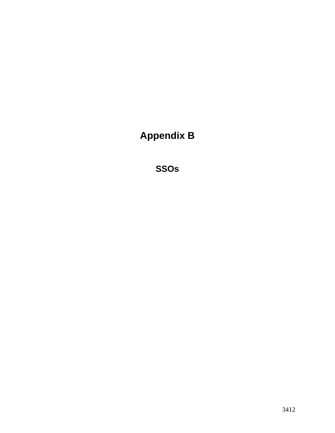**Appendix B** 

**SSOs**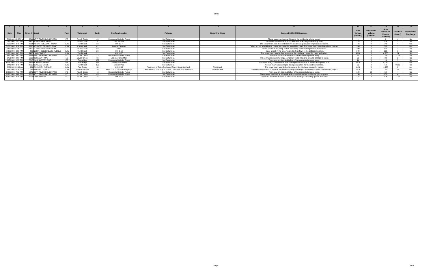#### SSOs

| Date      |                    | Time Street # Street |                                   |       | Watershed           |     | <b>Overflow Location</b>      | Pathway                                                     | <b>Receiving Water</b> | <b>Cause of SSO/KUB Response</b>                                                                           |       | Recovered<br>Volume<br>(Gallons | $Non-$<br>Recovered<br>Volume<br>(Gallons | <b>Duration</b><br>(Hours) | <b>Unpermitted</b><br><b>Discharge</b> |
|-----------|--------------------|----------------------|-----------------------------------|-------|---------------------|-----|-------------------------------|-------------------------------------------------------------|------------------------|------------------------------------------------------------------------------------------------------------|-------|---------------------------------|-------------------------------------------|----------------------------|----------------------------------------|
|           | 7/4/2008 12:00 PM  |                      | 5241 BENT RIVER BOULEVARD         |       | <b>Fourth Creek</b> | 43. | Residential Grinder Pump      | Soil Saturation                                             |                        | There was a mechanical failure of the residential grinder pump.                                            |       |                                 |                                           |                            | No.                                    |
|           | 7/7/2008 1:57 PM   |                      | 4410 BUFFAT MILL ROAD             |       | Loves Creek         |     | MH 29-289                     | Soil Saturation                                             |                        | The sewer main was flushed to remove the blockage caused by roots.                                         | 216   |                                 |                                           |                            | No                                     |
|           | 7/10/2008 2:45 P   |                      | 2904 MOUNT PLEASANT ROAD          | KI IW | <b>Third Creek</b>  | 50  | MH 12-7                       | Soil Saturation                                             |                        | The sewer main was flushed to remove the blockage caused by grease and debris.                             | 748   |                                 | 740                                       |                            | N <sub>10</sub>                        |
|           | 7/20/2008 3:30 PM  |                      | 5900 NEUBERT SPRINGS ROAD         | KI IW | Knob Creek          |     | Lateral Cleanout              | Soil Saturation                                             |                        | Debris from a rehabilitation contractor caused a partial blockage. The sewer main was cleared and cleaned. | 360   |                                 | 360                                       |                            |                                        |
|           | 7/22/2008 12:30 AM |                      | 6410 S. RUGGLES FERRY PIKE        |       | Loves Creek         | 62  | MH 3                          | Soil Saturation                                             |                        | Power failure at the pump station caused by storm damage to the power lines.                               | 300   |                                 | 300                                       |                            | No.                                    |
|           | 7/28/2008 8:59 PM  |                      | 409 NORTH BELLEMEADE AVENUE   KUW |       | <b>Third Creek</b>  | 28  | MH 3-53                       | Soil Saturation                                             |                        | Heavy rainfall in the area resulted in high flows in the collection system.                                |       |                                 | 300                                       |                            | <b>No</b>                              |
|           | 7/30/2008 8:05 PM  |                      | 5405 LANCE DRIVE                  | KUW   | <b>Third Creek</b>  |     | MH 10-85                      | Soil Saturation                                             |                        | The sewer main was flushed to remove the blockage caused by roots and debris.                              | 4,900 |                                 | 4.900                                     | 24                         | No                                     |
|           | 8/4/2008 3:02 PM   |                      | 5246 BENT RIVER BOULEVARD         |       | Fourth Creek        | -43 | Residential Grinder Pump      | Soil Saturation                                             |                        | There was an electrical failure of the residential grinder pump.                                           | -29   |                                 |                                           | 2.33                       |                                        |
|           | 8/6/2008 2:01 PM   |                      | 1019 OGLESBY ROAD                 |       | Loves Creek         | 66  | Leaking Force Main            | Soil Saturation                                             |                        | The contractor was removing a temporary force main and allowed leakage to occur.                           | 38    |                                 |                                           |                            | No.                                    |
|           | 8/7/2008 1:55 P    |                      | 7217 WASHINGTON PIKE              | EB    | Eastbridge          | 109 | Residential Grinder Pump      | Soil Saturation                                             |                        | There was an electrical failure of the residential grinder pump.                                           |       |                                 |                                           |                            |                                        |
|           | 8/14/2008 1:30 PM  |                      | 5309 ROBERTS ROAD                 |       | Eastbridge          |     | Leaking Force Main            | Soil Saturation                                             |                        | There was a dig-in on the force main during the installation of an electrical power pole.                  | 5.030 |                                 | 030.                                      |                            |                                        |
|           | 9/4/2008 3:45 PM   |                      | 2015 NEYLAND DRIVE                | KI IW | <b>Third Creek</b>  | 35B | Broken Pipe                   | Soil Saturation                                             |                        | A sewer main was damaged during excavation for a potable water line.                                       | 50    |                                 | 50.                                       | 0.083                      | N <sub>o</sub>                         |
|           | 9/6/2008 11:14 AM  |                      | 301 E CHURCH AVENUE               | KUW   | <b>First Creek</b>  |     | MH 10-11                      | Payement to Catch Basin and Storm Sewer to Creek            | <b>First Creek</b>     | The sewer main was flushed to remove the blockage caused by debris.                                        | 1.438 |                                 | 1.438                                     |                            | Yes                                    |
|           | 9/8/2008 10:30 AM  |                      | 738 MARYVILLE PIKE                | KUW   | South Knoxville     |     | MHs 27-1, 27-2 & Leaking Pipe | Direct Flow to Tributary to Goose Creek and Soil Saturation | Goose Creek            | The event was related to a partial failure of the pump-around process during a sewer replacement project.  | 1.570 |                                 | 1.570                                     | 12                         | Yes                                    |
| 9/28/2008 |                    |                      | 5371 BENT RIVER BOULEVARD         |       | <b>Fourth Creek</b> |     | Residential Grinder Pump      | Soil Saturation                                             |                        | There was an electrical failure of the residential grinder pump.                                           | 120   |                                 |                                           |                            | N∩                                     |
|           | 9/30/2008 3:00 PM  |                      | 5323 BENT RIVER BOULEVARD         |       | <b>Fourth Creek</b> | 43  | Residential Grinder Pump      | Soil Saturation                                             |                        | There was a mechanical failure of an improperly-installed residential grinder pump.                        | 150   |                                 |                                           |                            | <b>No</b>                              |
|           | 9/30/2008 8:45 PM  |                      | 5915 CASEY DRIVE                  |       | <b>Fourth Creek</b> |     | MH 22-8                       | Soil Saturation                                             |                        | The sewer main was flushed to remove the blockage caused by grease and roots.                              | 375   |                                 |                                           | 0.25                       | No                                     |
|           |                    |                      |                                   |       |                     |     |                               |                                                             |                        |                                                                                                            |       |                                 |                                           |                            |                                        |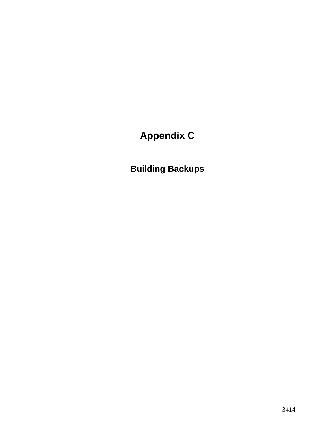# **Appendix C**

**Building Backups**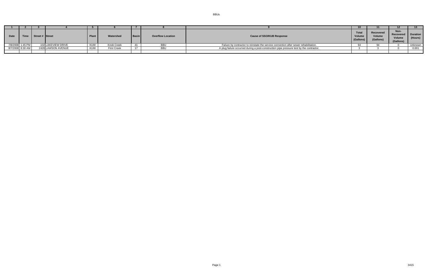| Date | Time             | Street # Street |                    | Plant | Watershed          | <b>Basin</b> | <b>Overflow Location</b> | <b>Total</b><br><b>Cause of SSO/KUB Response</b><br>Volum<br>  (Gallons)                 |  | Recovered<br>Volume<br>(Gallons) | Non-<br>Recovered   Duration<br>Volume<br>(Gallons) | (Hours) |
|------|------------------|-----------------|--------------------|-------|--------------------|--------------|--------------------------|------------------------------------------------------------------------------------------|--|----------------------------------|-----------------------------------------------------|---------|
|      | 7/8/2008 1:45 PM |                 | 102 LAKEVIEW DRIVE |       | Knob Creek         |              | <b>BBU</b>               | Failure by contractor to reinstate the service connection after sewer rehabilitation.    |  |                                  |                                                     | Unknown |
|      | 8/7/2008 8:30 AM |                 | 2428 LAWSON AVENUE |       | <b>First Creek</b> |              | <b>BBU</b>               | A plug failure occurred during a post-construction pipe pressure test by the contractor. |  |                                  |                                                     | 0.001   |
|      |                  |                 |                    |       |                    |              |                          |                                                                                          |  |                                  |                                                     |         |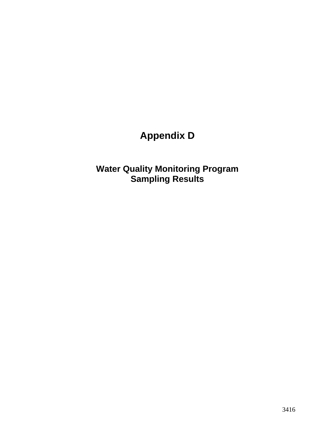# **Appendix D**

**Water Quality Monitoring Program Sampling Results**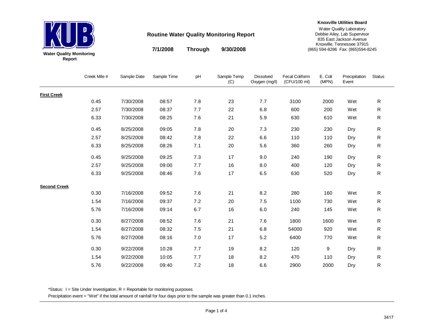

**7/1/2008 9/30/2008Through**

#### **Knoxville Utilities Board**

Water Quality Laboratory Debbie Ailey, Lab Supervisor 835 East Jackson Avenue Knoxville, Tennessee 37915 (865) 594-8286 Fax: (865)594-8245

|                     | Creek Mile # | Sample Date | Sample Time | pH  | Sample Temp<br>(C) | <b>Dissolved</b><br>Oxygen (mg/l) | Fecal Coliform<br>(CFU/100 ml) | E. Coli<br>(MPN) | Precipitation<br>Event | <b>Status</b> |
|---------------------|--------------|-------------|-------------|-----|--------------------|-----------------------------------|--------------------------------|------------------|------------------------|---------------|
| <b>First Creek</b>  |              |             |             |     |                    |                                   |                                |                  |                        |               |
|                     | 0.45         | 7/30/2008   | 08:57       | 7.8 | 23                 | 7.7                               | 3100                           | 2000             | Wet                    | ${\sf R}$     |
|                     | 2.57         | 7/30/2008   | 08:37       | 7.7 | 22                 | 6.8                               | 600                            | 200              | Wet                    | R             |
|                     | 6.33         | 7/30/2008   | 08:25       | 7.6 | 21                 | 5.9                               | 630                            | 610              | Wet                    | ${\sf R}$     |
|                     | 0.45         | 8/25/2008   | 09:05       | 7.8 | 20                 | 7.3                               | 230                            | 230              | Dry                    | ${\sf R}$     |
|                     | 2.57         | 8/25/2008   | 08:42       | 7.8 | 22                 | 6.6                               | 110                            | 110              | Dry                    | ${\sf R}$     |
|                     | 6.33         | 8/25/2008   | 08:26       | 7.1 | 20                 | 5.6                               | 360                            | 260              | Dry                    | ${\sf R}$     |
|                     | 0.45         | 9/25/2008   | 09:25       | 7.3 | 17                 | 9.0                               | 240                            | 190              | Dry                    | ${\sf R}$     |
|                     | 2.57         | 9/25/2008   | 09:00       | 7.7 | 16                 | 8.0                               | 400                            | 120              | Dry                    | ${\sf R}$     |
|                     | 6.33         | 9/25/2008   | 08:46       | 7.6 | 17                 | 6.5                               | 630                            | 520              | Dry                    | ${\sf R}$     |
| <b>Second Creek</b> |              |             |             |     |                    |                                   |                                |                  |                        |               |
|                     | 0.30         | 7/16/2008   | 09:52       | 7.6 | 21                 | 8.2                               | 280                            | 160              | Wet                    | ${\sf R}$     |
|                     | 1.54         | 7/16/2008   | 09:37       | 7.2 | 20                 | 7.5                               | 1100                           | 730              | Wet                    | ${\sf R}$     |
|                     | 5.76         | 7/16/2008   | 09:14       | 6.7 | 16                 | 6.0                               | 240                            | 145              | Wet                    | ${\sf R}$     |
|                     | 0.30         | 8/27/2008   | 08:52       | 7.6 | 21                 | 7.6                               | 1800                           | 1600             | Wet                    | ${\sf R}$     |
|                     | 1.54         | 8/27/2008   | 08:32       | 7.5 | 21                 | 6.8                               | 54000                          | 920              | Wet                    | ${\sf R}$     |
|                     | 5.76         | 8/27/2008   | 08:16       | 7.0 | 17                 | 5.2                               | 6400                           | 770              | Wet                    | ${\sf R}$     |
|                     | 0.30         | 9/22/2008   | 10:28       | 7.7 | 19                 | 8.2                               | 120                            | 9                | Dry                    | ${\sf R}$     |
|                     | 1.54         | 9/22/2008   | 10:05       | 7.7 | 18                 | 8.2                               | 470                            | 110              | Dry                    | ${\sf R}$     |
|                     | 5.76         | 9/22/2008   | 09:40       | 7.2 | 18                 | 6.6                               | 2900                           | 2000             | Dry                    | R             |

\*Status:  $I =$  Site Under Investigation,  $R =$  Reportable for monitoring purposes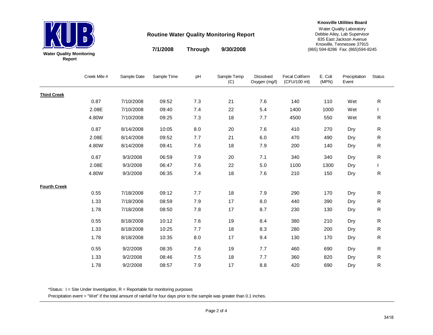

**7/1/2008 9/30/2008Through**

#### **Knoxville Utilities Board**

Water Quality Laboratory Debbie Ailey, Lab Supervisor 835 East Jackson Avenue Knoxville, Tennessee 37915 (865) 594-8286 Fax: (865)594-8245

|                     | Creek Mile # | Sample Date | Sample Time | pH  | Sample Temp<br>(C) | <b>Dissolved</b><br>Oxygen (mg/l) | <b>Fecal Coliform</b><br>(CFU/100 ml) | E. Coli<br>(MPN) | Precipitation<br>Event | <b>Status</b> |
|---------------------|--------------|-------------|-------------|-----|--------------------|-----------------------------------|---------------------------------------|------------------|------------------------|---------------|
| <b>Third Creek</b>  |              |             |             |     |                    |                                   |                                       |                  |                        |               |
|                     | 0.87         | 7/10/2008   | 09:52       | 7.3 | 21                 | 7.6                               | 140                                   | 110              | Wet                    | ${\sf R}$     |
|                     | 2.08E        | 7/10/2008   | 09:40       | 7.4 | 22                 | 5.4                               | 1400                                  | 1000             | Wet                    |               |
|                     | 4.80W        | 7/10/2008   | 09:25       | 7.3 | 18                 | 7.7                               | 4500                                  | 550              | Wet                    | ${\sf R}$     |
|                     | 0.87         | 8/14/2008   | 10:05       | 8.0 | 20                 | 7.6                               | 410                                   | 270              | Dry                    | ${\sf R}$     |
|                     | 2.08E        | 8/14/2008   | 09:52       | 7.7 | 21                 | 6.0                               | 470                                   | 490              | Dry                    | R             |
|                     | 4.80W        | 8/14/2008   | 09:41       | 7.6 | 18                 | 7.9                               | 200                                   | 140              | Dry                    | R             |
|                     | 0.87         | 9/3/2008    | 06:59       | 7.9 | 20                 | 7.1                               | 340                                   | 340              | Dry                    | ${\sf R}$     |
|                     | 2.08E        | 9/3/2008    | 06:47       | 7.6 | 22                 | 5.0                               | 1100                                  | 1300             | Dry                    |               |
|                     | 4.80W        | 9/3/2008    | 06:35       | 7.4 | 18                 | 7.6                               | 210                                   | 150              | Dry                    | ${\sf R}$     |
| <b>Fourth Creek</b> |              |             |             |     |                    |                                   |                                       |                  |                        |               |
|                     | 0.55         | 7/18/2008   | 09:12       | 7.7 | 18                 | 7.9                               | 290                                   | 170              | Dry                    | ${\sf R}$     |
|                     | 1.33         | 7/18/2008   | 08:59       | 7.9 | 17                 | 8.0                               | 440                                   | 390              | Dry                    | ${\sf R}$     |
|                     | 1.78         | 7/18/2008   | 08:50       | 7.8 | 17                 | 8.7                               | 230                                   | 130              | Dry                    | R             |
|                     | 0.55         | 8/18/2008   | 10:12       | 7.6 | 19                 | 8.4                               | 380                                   | 210              | Dry                    | R             |
|                     | 1.33         | 8/18/2008   | 10:25       | 7.7 | 18                 | 8.3                               | 280                                   | 200              | Dry                    | R             |
|                     | 1.78         | 8/18/2008   | 10:35       | 8.0 | 17                 | 9.4                               | 130                                   | 170              | Dry                    | R             |
|                     | 0.55         | 9/2/2008    | 08:35       | 7.6 | 19                 | 7.7                               | 460                                   | 690              | Dry                    | R             |
|                     | 1.33         | 9/2/2008    | 08:46       | 7.5 | 18                 | 7.7                               | 360                                   | 820              | Dry                    | R             |
|                     | 1.78         | 9/2/2008    | 08:57       | 7.9 | 17                 | 8.8                               | 420                                   | 690              | Dry                    | ${\sf R}$     |

\*Status:  $I =$  Site Under Investigation,  $R =$  Reportable for monitoring purposes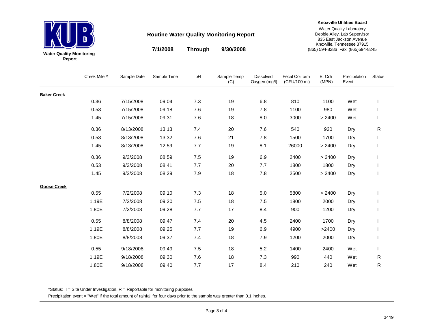

**7/1/2008 9/30/2008Through**

#### **Knoxville Utilities Board**

Water Quality Laboratory Debbie Ailey, Lab Supervisor 835 East Jackson Avenue Knoxville, Tennessee 37915 (865) 594-8286 Fax: (865)594-8245

|                    | Creek Mile # | Sample Date | Sample Time | pH    | Sample Temp<br>(C) | <b>Dissolved</b><br>Oxygen (mg/l) | Fecal Coliform<br>(CFU/100 ml) | E. Coli<br>(MPN) | Precipitation<br>Event | Status |
|--------------------|--------------|-------------|-------------|-------|--------------------|-----------------------------------|--------------------------------|------------------|------------------------|--------|
| <b>Baker Creek</b> |              |             |             |       |                    |                                   |                                |                  |                        |        |
|                    | 0.36         | 7/15/2008   | 09:04       | 7.3   | 19                 | 6.8                               | 810                            | 1100             | Wet                    |        |
|                    | 0.53         | 7/15/2008   | 09:18       | 7.6   | 19                 | 7.8                               | 1100                           | 980              | Wet                    |        |
|                    | 1.45         | 7/15/2008   | 09:31       | 7.6   | 18                 | 8.0                               | 3000                           | > 2400           | Wet                    |        |
|                    | 0.36         | 8/13/2008   | 13:13       | 7.4   | 20                 | 7.6                               | 540                            | 920              | Dry                    | R      |
|                    | 0.53         | 8/13/2008   | 13:32       | 7.6   | 21                 | 7.8                               | 1500                           | 1700             | Dry                    |        |
|                    | 1.45         | 8/13/2008   | 12:59       | 7.7   | 19                 | 8.1                               | 26000                          | > 2400           | Dry                    |        |
|                    | 0.36         | 9/3/2008    | 08:59       | 7.5   | 19                 | 6.9                               | 2400                           | > 2400           | Dry                    |        |
|                    | 0.53         | 9/3/2008    | 08:41       | 7.7   | 20                 | 7.7                               | 1800                           | 1800             | Dry                    |        |
|                    | 1.45         | 9/3/2008    | 08:29       | 7.9   | 18                 | 7.8                               | 2500                           | > 2400           | Dry                    |        |
| <b>Goose Creek</b> |              |             |             |       |                    |                                   |                                |                  |                        |        |
|                    | 0.55         | 7/2/2008    | 09:10       | 7.3   | 18                 | 5.0                               | 5800                           | > 2400           | Dry                    |        |
|                    | 1.19E        | 7/2/2008    | 09:20       | 7.5   | 18                 | 7.5                               | 1800                           | 2000             | Dry                    |        |
|                    | 1.80E        | 7/2/2008    | 09:28       | 7.7   | 17                 | 8.4                               | 900                            | 1200             | Dry                    |        |
|                    | 0.55         | 8/8/2008    | 09:47       | 7.4   | 20                 | 4.5                               | 2400                           | 1700             | Dry                    |        |
|                    | 1.19E        | 8/8/2008    | 09:25       | 7.7   | 19                 | 6.9                               | 4900                           | >2400            | Dry                    |        |
|                    | 1.80E        | 8/8/2008    | 09:37       | 7.4   | 18                 | 7.9                               | 1200                           | 2000             | Dry                    |        |
|                    | 0.55         | 9/18/2008   | 09:49       | $7.5$ | 18                 | 5.2                               | 1400                           | 2400             | Wet                    |        |
|                    | 1.19E        | 9/18/2008   | 09:30       | 7.6   | 18                 | 7.3                               | 990                            | 440              | Wet                    | R      |
|                    | 1.80E        | 9/18/2008   | 09:40       | 7.7   | 17                 | 8.4                               | 210                            | 240              | Wet                    | R      |

\*Status:  $I =$  Site Under Investigation,  $R =$  Reportable for monitoring purposes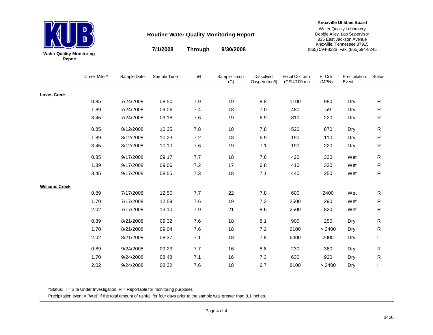

**7/1/2008 9/30/2008Through**

#### **Knoxville Utilities Board**

Water Quality Laboratory Debbie Ailey, Lab Supervisor 835 East Jackson Avenue Knoxville, Tennessee 37915 (865) 594-8286 Fax: (865)594-8245

|                       | Creek Mile # | Sample Date | Sample Time | pH  | Sample Temp<br>(C) | <b>Dissolved</b><br>Oxygen (mg/l) | <b>Fecal Coliform</b><br>(CFU/100 ml) | E. Coli<br>(MPN) | Precipitation<br>Event | <b>Status</b> |
|-----------------------|--------------|-------------|-------------|-----|--------------------|-----------------------------------|---------------------------------------|------------------|------------------------|---------------|
| <b>Loves Creek</b>    |              |             |             |     |                    |                                   |                                       |                  |                        |               |
|                       | 0.85         | 7/24/2008   | 08:50       | 7.9 | 19                 | 8.8                               | 1100                                  | 980              | Dry                    | ${\sf R}$     |
|                       | 1.89         | 7/24/2008   | 09:06       | 7.4 | 18                 | 7.0                               | 480                                   | 59               | Dry                    | R             |
|                       | 3.45         | 7/24/2008   | 09:18       | 7.6 | 19                 | 6.9                               | 810                                   | 220              | Dry                    | R             |
|                       | 0.85         | 8/12/2008   | 10:35       | 7.8 | 18                 | 7.8                               | 520                                   | 870              | Dry                    | ${\sf R}$     |
|                       | 1.89         | 8/12/2008   | 10:23       | 7.2 | 18                 | 6.9                               | 190                                   | 110              | Dry                    | R             |
|                       | 3.45         | 8/12/2008   | 10:10       | 7.6 | 19                 | 7.1                               | 190                                   | 220              | Dry                    | R             |
|                       | 0.85         | 9/17/2008   | 09:17       | 7.7 | 18                 | 7.6                               | 420                                   | 330              | Wet                    | ${\sf R}$     |
|                       | 1.89         | 9/17/2008   | 09:06       | 7.2 | 17                 | 6.8                               | 410                                   | 330              | Wet                    | R             |
|                       | 3.45         | 9/17/2008   | 08:55       | 7.3 | 18                 | 7.1                               | 440                                   | 250              | Wet                    | R             |
| <b>Williams Creek</b> |              |             |             |     |                    |                                   |                                       |                  |                        |               |
|                       | 0.89         | 7/17/2008   | 12:50       | 7.7 | 22                 | 7.8                               | 600                                   | 2400             | Wet                    | ${\sf R}$     |
|                       | 1.70         | 7/17/2008   | 12:59       | 7.6 | 19                 | 7.3                               | 2500                                  | 290              | Wet                    | R             |
|                       | 2.02         | 7/17/2008   | 13:10       | 7.9 | 21                 | 8.6                               | 2500                                  | 820              | Wet                    | ${\sf R}$     |
|                       | 0.89         | 8/21/2008   | 09:32       | 7.6 | 18                 | 8.1                               | 900                                   | 250              | Dry                    | R             |
|                       | 1.70         | 8/21/2008   | 09:04       | 7.6 | 18                 | 7.2                               | 2100                                  | > 2400           | Dry                    | R             |
|                       | 2.02         | 8/21/2008   | 08:37       | 7.1 | 18                 | 7.8                               | 6400                                  | 2000             | Dry                    |               |
|                       | 0.89         | 9/24/2008   | 09:23       | 7.7 | 16                 | 8.8                               | 230                                   | 360              | Dry                    | R             |
|                       | 1.70         | 9/24/2008   | 08:48       | 7.1 | 16                 | 7.3                               | 630                                   | 920              | Dry                    | R             |
|                       | 2.02         | 9/24/2008   | 08:32       | 7.6 | 18                 | 6.7                               | 8100                                  | > 2400           | Dry                    |               |

\*Status:  $I =$  Site Under Investigation,  $R =$  Reportable for monitoring purposes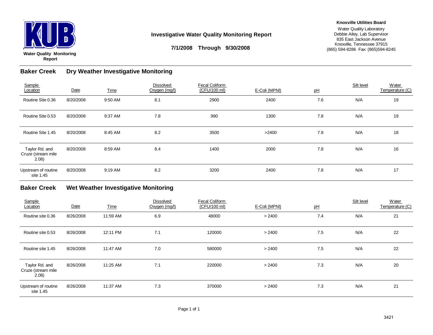

#### **Investigative Water Quality Monitoring Report**

#### **Knoxville Utilities Board**

Water Quality Laboratory Debbie Ailey, Lab Supervisor 835 East Jackson Avenue Knoxville, Tennessee 37915 (865) 594-8286 Fax: (865)594-8245

**7/1/2008 Through 9/30/2008**

#### **Baker CreekDry Weather Investigative Monitoring**

| Sample<br>Location                            | Date      | <b>Time</b> | <b>Dissolved</b><br>Oxygen (mg/l) | Fecal Coliform<br>(CFU/100 ml) | E-Coli (MPNI) | pH  | Silt level | Water<br>Temperature (C) |
|-----------------------------------------------|-----------|-------------|-----------------------------------|--------------------------------|---------------|-----|------------|--------------------------|
| Routine Site 0.36                             | 8/20/2008 | 9:50 AM     | 8.1                               | 2900                           | 2400          | 7.6 | N/A        | 19                       |
| Routine Site 0.53                             | 8/20/2008 | 9:37 AM     | 7.8                               | 990                            | 1300          | 7.8 | N/A        | 19                       |
| Routine Site 1.45                             | 8/20/2008 | 8:45 AM     | 8.2                               | 3500                           | >2400         | 7.9 | N/A        | 18                       |
| Taylor Rd. and<br>Cruze (stream mile<br>2.08) | 8/20/2008 | 8:59 AM     | 8.4                               | 1400                           | 2000          | 7.8 | N/A        | 16                       |
| Upstream of routine<br>site 1.45              | 8/20/2008 | 9:19 AM     | 8.2                               | 3200                           | 2400          | 7.8 | N/A        | 17                       |

#### **Baker Creek Wet Weather Investigative Monitoring**

| Sample<br>Location                            | Date      | <b>Time</b> | Dissolved<br>Oxygen (mg/l) | <b>Fecal Coliform</b><br>(CFU/100 ml) | E-Coli (MPNI) | pH  | Silt level | Water<br>Temperature (C) |
|-----------------------------------------------|-----------|-------------|----------------------------|---------------------------------------|---------------|-----|------------|--------------------------|
| Routine site 0.36                             | 8/26/2008 | 11:59 AM    | 6.9                        | 48000                                 | > 2400        | 7.4 | N/A        | 21                       |
| Routine site 0.53                             | 8/26/2008 | 12:11 PM    | 7.1                        | 120000                                | > 2400        | 7.5 | N/A        | 22                       |
| Routine site 1.45                             | 8/26/2008 | 11:47 AM    | 7.0                        | 580000                                | > 2400        | 7.5 | N/A        | 22                       |
| Taylor Rd. and<br>Cruze (stream mile<br>2.08) | 8/26/2008 | 11:25 AM    | 7.1                        | 220000                                | > 2400        | 7.3 | N/A        | 20                       |
| Upstream of routine<br>site 1.45              | 8/26/2008 | 11:37 AM    | 7.3                        | 370000                                | > 2400        | 7.3 | N/A        | 21                       |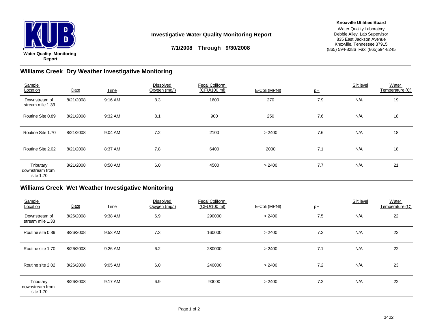

#### **Investigative Water Quality Monitoring Report**

#### **Knoxville Utilities Board**

Water Quality Laboratory Debbie Ailey, Lab Supervisor 835 East Jackson Avenue Knoxville, Tennessee 37915 (865) 594-8286 Fax: (865)594-8245

## **7/1/2008 Through 9/30/2008**

#### **Williams Creek Dry Weather Investigative Monitoring**

| Sample<br>Location                        | Date      | <b>Time</b> | <b>Dissolved</b><br>Oxygen (mg/l) | <b>Fecal Coliform</b><br>(CFU/100 ml) | E-Coli (MPNI) | pH  | Silt level | Water<br>Temperature (C) |
|-------------------------------------------|-----------|-------------|-----------------------------------|---------------------------------------|---------------|-----|------------|--------------------------|
| Downstream of<br>stream mile 1.33         | 8/21/2008 | 9:16 AM     | 8.3                               | 1600                                  | 270           | 7.9 | N/A        | 19                       |
| Routine Site 0.89                         | 8/21/2008 | 9:32 AM     | 8.1                               | 900                                   | 250           | 7.6 | N/A        | 18                       |
| Routine Site 1.70                         | 8/21/2008 | 9:04 AM     | 7.2                               | 2100                                  | > 2400        | 7.6 | N/A        | 18                       |
| Routine Site 2.02                         | 8/21/2008 | 8:37 AM     | 7.8                               | 6400                                  | 2000          | 7.1 | N/A        | 18                       |
| Tributary<br>downstream from<br>site 1.70 | 8/21/2008 | 8:50 AM     | 6.0                               | 4500                                  | > 2400        | 7.7 | N/A        | 21                       |

#### **Williams Creek Wet Weather Investigative Monitoring**

| Sample<br>Location                        | Date      | <b>Time</b> | <b>Dissolved</b><br>Oxygen (mg/l) | <b>Fecal Coliform</b><br>(CFU/100 ml) | E-Coli (MPNI) | pH  | Silt level | Water<br>Temperature (C) |
|-------------------------------------------|-----------|-------------|-----------------------------------|---------------------------------------|---------------|-----|------------|--------------------------|
| Downstream of<br>stream mile 1.33         | 8/26/2008 | 9:38 AM     | 6.9                               | 290000                                | > 2400        | 7.5 | N/A        | 22                       |
| Routine site 0.89                         | 8/26/2008 | 9:53 AM     | 7.3                               | 160000                                | > 2400        | 7.2 | N/A        | 22                       |
| Routine site 1.70                         | 8/26/2008 | 9:26 AM     | 6.2                               | 280000                                | > 2400        | 7.1 | N/A        | 22                       |
| Routine site 2.02                         | 8/26/2008 | 9:05 AM     | 6.0                               | 240000                                | > 2400        | 7.2 | N/A        | 23                       |
| Tributary<br>downstream from<br>site 1.70 | 8/26/2008 | 9:17 AM     | 6.9                               | 90000                                 | > 2400        | 7.2 | N/A        | 22                       |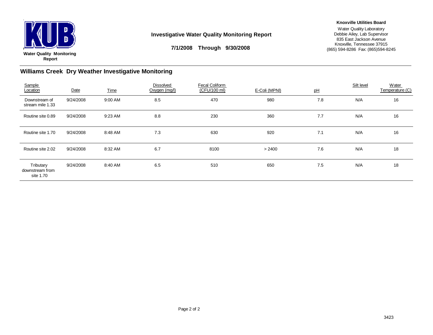

#### **Investigative Water Quality Monitoring Report**

#### **Knoxville Utilities Board**

Water Quality Laboratory Debbie Ailey, Lab Supervisor 835 East Jackson Avenue Knoxville, Tennessee 37915 (865) 594-8286 Fax: (865)594-8245

**7/1/2008 Through 9/30/2008**

#### **Williams Creek Dry Weather Investigative Monitoring**

| Sample<br>Location                        | Date      | <b>Time</b> | <b>Dissolved</b><br>Oxygen (mg/l) | <b>Fecal Coliform</b><br>(CFU/100 ml) | E-Coli (MPNI) | pH  | Silt level | Water<br>Temperature (C) |
|-------------------------------------------|-----------|-------------|-----------------------------------|---------------------------------------|---------------|-----|------------|--------------------------|
| Downstream of<br>stream mile 1.33         | 9/24/2008 | 9:00 AM     | 8.5                               | 470                                   | 980           | 7.8 | N/A        | 16                       |
| Routine site 0.89                         | 9/24/2008 | 9:23 AM     | 8.8                               | 230                                   | 360           | 7.7 | N/A        | 16                       |
| Routine site 1.70                         | 9/24/2008 | 8:48 AM     | 7.3                               | 630                                   | 920           | 7.1 | N/A        | 16                       |
| Routine site 2.02                         | 9/24/2008 | 8:32 AM     | 6.7                               | 8100                                  | > 2400        | 7.6 | N/A        | 18                       |
| Tributary<br>downstream from<br>site 1.70 | 9/24/2008 | 8:40 AM     | 6.5                               | 510                                   | 650           | 7.5 | N/A        | 18                       |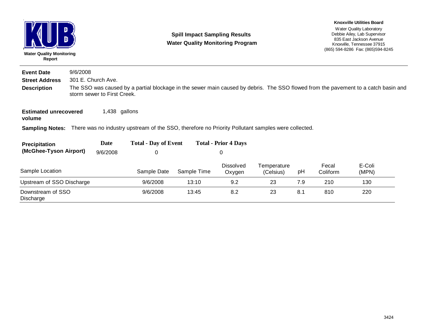| <b>Water Quality Monitoring</b><br>Report |          |                             | <b>Spill Impact Sampling Results</b><br><b>Water Quality Monitoring Program</b>                                                    |             |                             |                          |     | <b>Knoxville Utilities Board</b><br>Water Quality Laboratory<br>Debbie Ailey, Lab Supervisor<br>835 East Jackson Avenue<br>Knoxville, Tennessee 37915<br>(865) 594-8286 Fax: (865) 594-8245 |                 |  |
|-------------------------------------------|----------|-----------------------------|------------------------------------------------------------------------------------------------------------------------------------|-------------|-----------------------------|--------------------------|-----|---------------------------------------------------------------------------------------------------------------------------------------------------------------------------------------------|-----------------|--|
| <b>Event Date</b>                         | 9/6/2008 |                             |                                                                                                                                    |             |                             |                          |     |                                                                                                                                                                                             |                 |  |
| <b>Street Address</b>                     |          | 301 E. Church Ave.          |                                                                                                                                    |             |                             |                          |     |                                                                                                                                                                                             |                 |  |
| <b>Description</b>                        |          | storm sewer to First Creek. | The SSO was caused by a partial blockage in the sewer main caused by debris. The SSO flowed from the pavement to a catch basin and |             |                             |                          |     |                                                                                                                                                                                             |                 |  |
| <b>Estimated unrecovered</b><br>volume    |          | 1,438 gallons               |                                                                                                                                    |             |                             |                          |     |                                                                                                                                                                                             |                 |  |
|                                           |          |                             | Sampling Notes: There was no industry upstream of the SSO, therefore no Priority Pollutant samples were collected.                 |             |                             |                          |     |                                                                                                                                                                                             |                 |  |
| <b>Precipitation</b>                      |          | <b>Date</b>                 | <b>Total - Day of Event</b>                                                                                                        |             | <b>Total - Prior 4 Days</b> |                          |     |                                                                                                                                                                                             |                 |  |
| (McGhee-Tyson Airport)                    |          | 9/6/2008                    | 0                                                                                                                                  |             | 0                           |                          |     |                                                                                                                                                                                             |                 |  |
| Sample Location                           |          |                             | Sample Date                                                                                                                        | Sample Time | <b>Dissolved</b><br>Oxygen  | Temperature<br>(Celsius) | pH  | Fecal<br>Coliform                                                                                                                                                                           | E-Coli<br>(MPN) |  |
| Upstream of SSO Discharge                 |          |                             | 9/6/2008                                                                                                                           | 13:10       | 9.2                         | 23                       | 7.9 | 210                                                                                                                                                                                         | 130             |  |
| Downstream of SSO<br>Discharge            |          |                             | 9/6/2008                                                                                                                           | 13:45       | 8.2                         | 23                       | 8.1 | 810                                                                                                                                                                                         | 220             |  |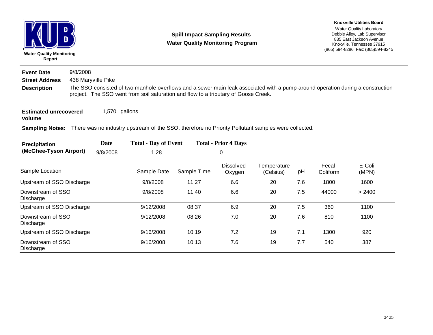| Report                         | <b>Water Quality Monitoring</b><br>9/8/2008<br>438 Maryville Pike |                                                                                                                                                                                                                      |                                                                                                                    | <b>Spill Impact Sampling Results</b><br><b>Water Quality Monitoring Program</b> | <b>Knoxville Utilities Board</b><br>Water Quality Laboratory<br>Debbie Ailey, Lab Supervisor<br>835 East Jackson Avenue<br>Knoxville, Tennessee 37915<br>(865) 594-8286 Fax: (865) 594-8245 |                          |     |                   |                 |  |  |  |
|--------------------------------|-------------------------------------------------------------------|----------------------------------------------------------------------------------------------------------------------------------------------------------------------------------------------------------------------|--------------------------------------------------------------------------------------------------------------------|---------------------------------------------------------------------------------|---------------------------------------------------------------------------------------------------------------------------------------------------------------------------------------------|--------------------------|-----|-------------------|-----------------|--|--|--|
| <b>Event Date</b>              |                                                                   |                                                                                                                                                                                                                      |                                                                                                                    |                                                                                 |                                                                                                                                                                                             |                          |     |                   |                 |  |  |  |
| <b>Street Address</b>          |                                                                   |                                                                                                                                                                                                                      |                                                                                                                    |                                                                                 |                                                                                                                                                                                             |                          |     |                   |                 |  |  |  |
| <b>Description</b>             |                                                                   | The SSO consisted of two manhole overflows and a sewer main leak associated with a pump-around operation during a construction<br>project. The SSO went from soil saturation and flow to a tributary of Goose Creek. |                                                                                                                    |                                                                                 |                                                                                                                                                                                             |                          |     |                   |                 |  |  |  |
| volume                         | 1,570 gallons<br><b>Estimated unrecovered</b>                     |                                                                                                                                                                                                                      |                                                                                                                    |                                                                                 |                                                                                                                                                                                             |                          |     |                   |                 |  |  |  |
|                                |                                                                   |                                                                                                                                                                                                                      | Sampling Notes: There was no industry upstream of the SSO, therefore no Priority Pollutant samples were collected. |                                                                                 |                                                                                                                                                                                             |                          |     |                   |                 |  |  |  |
| Precipitation                  |                                                                   | <b>Date</b>                                                                                                                                                                                                          | <b>Total - Day of Event</b>                                                                                        |                                                                                 | <b>Total - Prior 4 Days</b>                                                                                                                                                                 |                          |     |                   |                 |  |  |  |
| (McGhee-Tyson Airport)         |                                                                   | 9/8/2008                                                                                                                                                                                                             | 1.28                                                                                                               |                                                                                 | 0                                                                                                                                                                                           |                          |     |                   |                 |  |  |  |
| Sample Location                |                                                                   |                                                                                                                                                                                                                      | Sample Date                                                                                                        | Sample Time                                                                     | Dissolved<br>Oxygen                                                                                                                                                                         | Temperature<br>(Celsius) | pH  | Fecal<br>Coliform | E-Coli<br>(MPN) |  |  |  |
| Upstream of SSO Discharge      |                                                                   |                                                                                                                                                                                                                      | 9/8/2008                                                                                                           | 11:27                                                                           | 6.6                                                                                                                                                                                         | 20                       | 7.6 | 1800              | 1600            |  |  |  |
| Downstream of SSO<br>Discharge |                                                                   |                                                                                                                                                                                                                      | 9/8/2008                                                                                                           | 11:40                                                                           | 6.6                                                                                                                                                                                         | 20                       | 7.5 | 44000             | > 2400          |  |  |  |
| Upstream of SSO Discharge      |                                                                   |                                                                                                                                                                                                                      | 9/12/2008                                                                                                          | 08:37                                                                           | 6.9                                                                                                                                                                                         | 20                       | 7.5 | 360               | 1100            |  |  |  |
| Downstream of SSO<br>Discharge |                                                                   |                                                                                                                                                                                                                      | 9/12/2008                                                                                                          | 08:26                                                                           | 7.0                                                                                                                                                                                         | 20                       | 7.6 | 810               | 1100            |  |  |  |
| Upstream of SSO Discharge      |                                                                   |                                                                                                                                                                                                                      | 9/16/2008                                                                                                          | 10:19                                                                           | 7.2                                                                                                                                                                                         | 19                       | 7.1 | 1300              | 920             |  |  |  |
| Downstream of SSO<br>Discharge |                                                                   |                                                                                                                                                                                                                      | 9/16/2008                                                                                                          | 10:13                                                                           | 7.6                                                                                                                                                                                         | 19                       | 7.7 | 540               | 387             |  |  |  |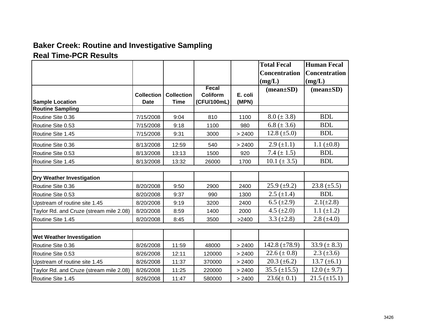## **Baker Creek: Routine and Investigative Sampling**

## **Real Time-PCR Results**

|                                         |                   |                   |             |         | <b>Total Fecal</b>          | <b>Human Fecal</b>          |
|-----------------------------------------|-------------------|-------------------|-------------|---------|-----------------------------|-----------------------------|
|                                         |                   |                   |             |         | <b>Concentration</b>        | <b>Concentration</b>        |
|                                         |                   |                   |             |         | (mg/L)                      | (mg/L)                      |
|                                         |                   |                   | Fecal       |         | $(\text{mean}\pm\text{SD})$ | $(\text{mean}\pm\text{SD})$ |
|                                         | <b>Collection</b> | <b>Collection</b> | Coliform    | E. coli |                             |                             |
| <b>Sample Location</b>                  | <b>Date</b>       | <b>Time</b>       | (CFU/100mL) | (MPN)   |                             |                             |
| <b>Routine Sampling</b>                 |                   |                   |             |         |                             | <b>BDL</b>                  |
| Routine Site 0.36                       | 7/15/2008         | 9:04              | 810         | 1100    | $8.0 (\pm 3.8)$             |                             |
| Routine Site 0.53                       | 7/15/2008         | 9:18              | 1100        | 980     | 6.8 ( $\pm$ 3.6)            | <b>BDL</b>                  |
| Routine Site 1.45                       | 7/15/2008         | 9:31              | 3000        | > 2400  | 12.8 $(\pm 5.0)$            | <b>BDL</b>                  |
| Routine Site 0.36                       | 8/13/2008         | 12:59             | 540         | > 2400  | $2.9 \ (\pm 1.1)$           | 1.1 $(\pm 0.8)$             |
| Routine Site 0.53                       | 8/13/2008         | 13:13             | 1500        | 920     | 7.4 $(\pm 1.5)$             | <b>BDL</b>                  |
| Routine Site 1.45                       | 8/13/2008         | 13:32             | 26000       | 1700    | 10.1 $(\pm 3.5)$            | <b>BDL</b>                  |
|                                         |                   |                   |             |         |                             |                             |
| <b>Dry Weather Investigation</b>        |                   |                   |             |         |                             |                             |
| Routine Site 0.36                       | 8/20/2008         | 9:50              | 2900        | 2400    | $25.9 \ (\pm 9.2)$          | 23.8 $(\pm 5.5)$            |
| Routine Site 0.53                       | 8/20/2008         | 9:37              | 990         | 1300    | $2.5 \ (\pm 1.4)$           | <b>BDL</b>                  |
| Upstream of routine site 1.45           | 8/20/2008         | 9:19              | 3200        | 2400    | $6.5 \ (\pm 2.9)$           | $2.1(\pm 2.8)$              |
| Taylor Rd. and Cruze (stream mile 2.08) | 8/20/2008         | 8:59              | 1400        | 2000    | 4.5 $(\pm 2.0)$             | 1.1 $(\pm 1.2)$             |
| Routine Site 1.45                       | 8/20/2008         | 8:45              | 3500        | >2400   | $3.3 \ (\pm 2.8)$           | $2.8~(\pm 4.0)$             |
|                                         |                   |                   |             |         |                             |                             |
| Wet Weather Investigation               |                   |                   |             |         |                             |                             |
| Routine Site 0.36                       | 8/26/2008         | 11:59             | 48000       | > 2400  | 142.8 $(\pm 78.9)$          | 33.9 $(\pm 8.3)$            |
| Routine Site 0.53                       | 8/26/2008         | 12:11             | 120000      | > 2400  | 22.6 ( $\pm$ 0.8)           | $2.3 (\pm 3.6)$             |
| Upstream of routine site 1.45           | 8/26/2008         | 11:37             | 370000      | > 2400  | $20.3 (\pm 6.2)$            | 13.7 $(\pm 6.1)$            |
| Taylor Rd. and Cruze (stream mile 2.08) | 8/26/2008         | 11:25             | 220000      | > 2400  | $35.5 (\pm 15.5)$           | $12.0 (\pm 9.7)$            |
| Routine Site 1.45                       | 8/26/2008         | 11:47             | 580000      | > 2400  | $23.6(\pm 0.1)$             | $21.5 (\pm 15.1)$           |